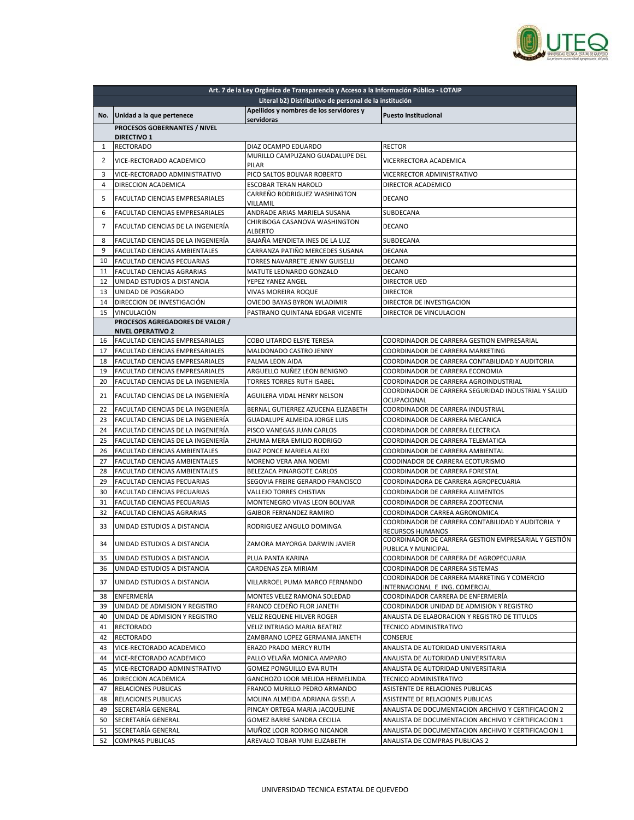

|          |                                                  | Art. 7 de la Ley Orgánica de Transparencia y Acceso a la Información Pública - LOTAIP |                                                                           |
|----------|--------------------------------------------------|---------------------------------------------------------------------------------------|---------------------------------------------------------------------------|
|          |                                                  | Literal b2) Distributivo de personal de la institución                                |                                                                           |
| No.      | Unidad a la que pertenece                        | Apellidos y nombres de los servidores y                                               | <b>Puesto Institucional</b>                                               |
|          | PROCESOS GOBERNANTES / NIVEL                     | servidoras                                                                            |                                                                           |
|          | <b>DIRECTIVO 1</b>                               |                                                                                       |                                                                           |
| 1        | <b>RECTORADO</b>                                 | DIAZ OCAMPO EDUARDO                                                                   | <b>RECTOR</b>                                                             |
| 2        | VICE-RECTORADO ACADEMICO                         | MURILLO CAMPUZANO GUADALUPE DEL                                                       | VICERRECTORA ACADEMICA                                                    |
|          |                                                  | PILAR                                                                                 |                                                                           |
| 3        | VICE-RECTORADO ADMINISTRATIVO                    | PICO SALTOS BOLIVAR ROBERTO                                                           | VICERRECTOR ADMINISTRATIVO                                                |
| 4        | DIRECCION ACADEMICA                              | <b>ESCOBAR TERAN HAROLD</b>                                                           | DIRECTOR ACADEMICO                                                        |
| 5        | <b>FACULTAD CIENCIAS EMPRESARIALES</b>           | CARREÑO RODRIGUEZ WASHINGTON<br>VILLAMIL                                              | <b>DECANO</b>                                                             |
| 6        | FACULTAD CIENCIAS EMPRESARIALES                  | ANDRADE ARIAS MARIELA SUSANA                                                          | SUBDECANA                                                                 |
| 7        | FACULTAD CIENCIAS DE LA INGENIERÍA               | CHIRIBOGA CASANOVA WASHINGTON                                                         | <b>DECANO</b>                                                             |
|          |                                                  | <b>ALBERTO</b>                                                                        |                                                                           |
| 8        | FACULTAD CIENCIAS DE LA INGENIERÍA               | BAJAÑA MENDIETA INES DE LA LUZ                                                        | SUBDECANA                                                                 |
| 9        | FACULTAD CIENCIAS AMBIENTALES                    | CARRANZA PATIÑO MERCEDES SUSANA                                                       | <b>DECANA</b>                                                             |
| 10       | <b>FACULTAD CIENCIAS PECUARIAS</b>               | TORRES NAVARRETE JENNY GUISELLI                                                       | <b>DECANO</b>                                                             |
| 11       | <b>FACULTAD CIENCIAS AGRARIAS</b>                | MATUTE LEONARDO GONZALO                                                               | DECANO                                                                    |
| 12<br>13 | UNIDAD ESTUDIOS A DISTANCIA                      | YEPEZ YANEZ ANGEL                                                                     | DIRECTOR UED                                                              |
| 14       | UNIDAD DE POSGRADO                               | VIVAS MOREIRA ROQUE                                                                   | <b>DIRECTOR</b><br>DIRECTOR DE INVESTIGACION                              |
| 15       | DIRECCION DE INVESTIGACIÓN<br><b>VINCULACIÓN</b> | OVIEDO BAYAS BYRON WLADIMIR                                                           | DIRECTOR DE VINCULACION                                                   |
|          | PROCESOS AGREGADORES DE VALOR /                  | PASTRANO QUINTANA EDGAR VICENTE                                                       |                                                                           |
|          | <b>NIVEL OPERATIVO 2</b>                         |                                                                                       |                                                                           |
| 16       | <b>FACULTAD CIENCIAS EMPRESARIALES</b>           | COBO LITARDO ELSYE TERESA                                                             | COORDINADOR DE CARRERA GESTION EMPRESARIAL                                |
| 17       | <b>FACULTAD CIENCIAS EMPRESARIALES</b>           | MALDONADO CASTRO JENNY                                                                | COORDINADOR DE CARRERA MARKETING                                          |
| 18       | FACULTAD CIENCIAS EMPRESARIALES                  | PALMA LEON AIDA                                                                       | COORDINADOR DE CARRERA CONTABILIDAD Y AUDITORIA                           |
| 19       | FACULTAD CIENCIAS EMPRESARIALES                  | ARGUELLO NUÑEZ LEON BENIGNO                                                           | COORDINADOR DE CARRERA ECONOMIA                                           |
| 20       | FACULTAD CIENCIAS DE LA INGENIERÍA               | TORRES TORRES RUTH ISABEL                                                             | COORDINADOR DE CARRERA AGROINDUSTRIAL                                     |
| 21       | FACULTAD CIENCIAS DE LA INGENIERÍA               | AGUILERA VIDAL HENRY NELSON                                                           | COORDINADOR DE CARRERA SEGURIDAD INDUSTRIAL Y SALUD<br><b>OCUPACIONAL</b> |
| 22       | FACULTAD CIENCIAS DE LA INGENIERÍA               | BERNAL GUTIERREZ AZUCENA ELIZABETH                                                    | COORDINADOR DE CARRERA INDUSTRIAL                                         |
| 23       | FACULTAD CIENCIAS DE LA INGENIERÍA               | GUADALUPE ALMEIDA JORGE LUIS                                                          | COORDINADOR DE CARRERA MECANICA                                           |
| 24       | FACULTAD CIENCIAS DE LA INGENIERÍA               | PISCO VANEGAS JUAN CARLOS                                                             | COORDINADOR DE CARRERA ELECTRICA                                          |
| 25       | FACULTAD CIENCIAS DE LA INGENIERÍA               | ZHUMA MERA EMILIO RODRIGO                                                             | COORDINADOR DE CARRERA TELEMATICA                                         |
| 26       | FACULTAD CIENCIAS AMBIENTALES                    | DIAZ PONCE MARIELA ALEXI                                                              | COORDINADOR DE CARRERA AMBIENTAL                                          |
| 27       | FACULTAD CIENCIAS AMBIENTALES                    | MORENO VERA ANA NOEMI                                                                 | COODINADOR DE CARRERA ECOTURISMO                                          |
| 28       | FACULTAD CIENCIAS AMBIENTALES                    | BELEZACA PINARGOTE CARLOS                                                             | COORDINADOR DE CARRERA FORESTAL                                           |
| 29       | FACULTAD CIENCIAS PECUARIAS                      | SEGOVIA FREIRE GERARDO FRANCISCO                                                      | COORDINADORA DE CARRERA AGROPECUARIA                                      |
| 30       | <b>FACULTAD CIENCIAS PECUARIAS</b>               | <b>VALLEJO TORRES CHISTIAN</b>                                                        | COORDINADOR DE CARRERA ALIMENTOS                                          |
| 31       | FACULTAD CIENCIAS PECUARIAS                      | MONTENEGRO VIVAS LEON BOLIVAR                                                         | COORDINADOR DE CARRERA ZOOTECNIA                                          |
| 32       | <b>FACULTAD CIENCIAS AGRARIAS</b>                | <b>GAIBOR FERNANDEZ RAMIRO</b>                                                        | COORDINADOR CARREA AGRONOMICA                                             |
| 33       | UNIDAD ESTUDIOS A DISTANCIA                      | RODRIGUEZ ANGULO DOMINGA                                                              | COORDINADOR DE CARRERA CONTABILIDAD Y AUDITORIA Y                         |
|          |                                                  |                                                                                       | RECURSOS HUMANOS<br>COORDINADOR DE CARRERA GESTION EMPRESARIAL Y GESTIÓN  |
| 34       | UNIDAD ESTUDIOS A DISTANCIA                      | ZAMORA MAYORGA DARWIN JAVIER                                                          | PUBLICA Y MUNICIPAL                                                       |
| 35       | UNIDAD ESTUDIOS A DISTANCIA                      | PLUA PANTA KARINA                                                                     | COORDINADOR DE CARRERA DE AGROPECUARIA                                    |
| 36       | UNIDAD ESTUDIOS A DISTANCIA                      | CARDENAS ZEA MIRIAM                                                                   | COORDINADOR DE CARRERA SISTEMAS                                           |
| 37       | UNIDAD ESTUDIOS A DISTANCIA                      | VILLARROEL PUMA MARCO FERNANDO                                                        | COORDINADOR DE CARRERA MARKETING Y COMERCIO                               |
| 38       | ENFERMERÍA                                       | MONTES VELEZ RAMONA SOLEDAD                                                           | INTERNACIONAL E ING. COMERCIAL<br>COORDINADOR CARRERA DE ENFERMERIA       |
| 39       | UNIDAD DE ADMISION Y REGISTRO                    | FRANCO CEDEÑO FLOR JANETH                                                             | COORDINADOR UNIDAD DE ADMISION Y REGISTRO                                 |
| 40       | UNIDAD DE ADMISION Y REGISTRO                    | VELIZ REQUENE HILVER ROGER                                                            | ANALISTA DE ELABORACION Y REGISTRO DE TITULOS                             |
| 41       | <b>RECTORADO</b>                                 | VELIZ INTRIAGO MARIA BEATRIZ                                                          | TECNICO ADMINISTRATIVO                                                    |
| 42       | RECTORADO                                        | ZAMBRANO LOPEZ GERMANIA JANETH                                                        | CONSERJE                                                                  |
| 43       | VICE-RECTORADO ACADEMICO                         | ERAZO PRADO MERCY RUTH                                                                | ANALISTA DE AUTORIDAD UNIVERSITARIA                                       |
| 44       | VICE-RECTORADO ACADEMICO                         | PALLO VELAÑA MONICA AMPARO                                                            | ANALISTA DE AUTORIDAD UNIVERSITARIA                                       |
| 45       | VICE-RECTORADO ADMINISTRATIVO                    | GOMEZ PONGUILLO EVA RUTH                                                              | ANALISTA DE AUTORIDAD UNIVERSITARIA                                       |
| 46       | DIRECCION ACADEMICA                              | GANCHOZO LOOR MELIDA HERMELINDA                                                       | TECNICO ADMINISTRATIVO                                                    |
| 47       | RELACIONES PUBLICAS                              | FRANCO MURILLO PEDRO ARMANDO                                                          | ASISTENTE DE RELACIONES PUBLICAS                                          |
| 48       | RELACIONES PUBLICAS                              | MOLINA ALMEIDA ADRIANA GISSELA                                                        | ASISTENTE DE RELACIONES PUBLICAS                                          |
| 49       | SECRETARÍA GENERAL                               | PINCAY ORTEGA MARIA JACQUELINE                                                        | ANALISTA DE DOCUMENTACION ARCHIVO Y CERTIFICACION 2                       |
| 50       | SECRETARÍA GENERAL                               | GOMEZ BARRE SANDRA CECILIA                                                            | ANALISTA DE DOCUMENTACION ARCHIVO Y CERTIFICACION 1                       |
| 51       | SECRETARÍA GENERAL                               | MUÑOZ LOOR RODRIGO NICANOR                                                            | ANALISTA DE DOCUMENTACION ARCHIVO Y CERTIFICACION 1                       |
| 52       | <b>COMPRAS PUBLICAS</b>                          | AREVALO TOBAR YUNI ELIZABETH                                                          | ANALISTA DE COMPRAS PUBLICAS 2                                            |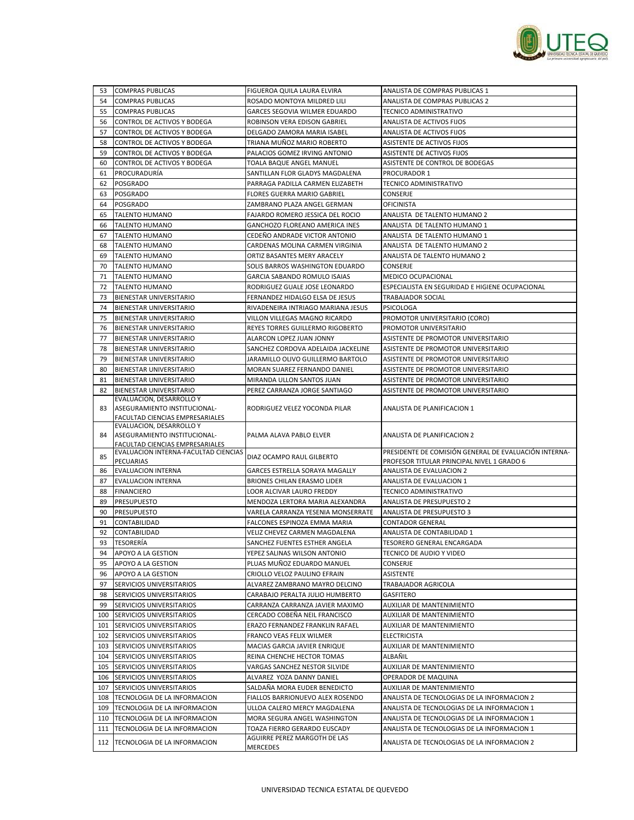

| 53  | <b>COMPRAS PUBLICAS</b>                                                 | FIGUEROA QUILA LAURA ELVIRA        | ANALISTA DE COMPRAS PUBLICAS 1                        |
|-----|-------------------------------------------------------------------------|------------------------------------|-------------------------------------------------------|
| 54  | <b>COMPRAS PUBLICAS</b>                                                 | ROSADO MONTOYA MILDRED LILI        | <b>ANALISTA DE COMPRAS PUBLICAS 2</b>                 |
| 55  | <b>COMPRAS PUBLICAS</b>                                                 | GARCES SEGOVIA WILMER EDUARDO      | TECNICO ADMINISTRATIVO                                |
| 56  | CONTROL DE ACTIVOS Y BODEGA                                             | ROBINSON VERA EDISON GABRIEL       | ANALISTA DE ACTIVOS FIJOS                             |
| 57  | CONTROL DE ACTIVOS Y BODEGA                                             | DELGADO ZAMORA MARIA ISABEL        | ANALISTA DE ACTIVOS FIJOS                             |
| 58  | CONTROL DE ACTIVOS Y BODEGA                                             | TRIANA MUÑOZ MARIO ROBERTO         | ASISTENTE DE ACTIVOS FIJOS                            |
| 59  | CONTROL DE ACTIVOS Y BODEGA                                             | PALACIOS GOMEZ IRVING ANTONIO      | ASISTENTE DE ACTIVOS FIJOS                            |
| 60  | CONTROL DE ACTIVOS Y BODEGA                                             | TOALA BAQUE ANGEL MANUEL           | ASISTENTE DE CONTROL DE BODEGAS                       |
| 61  | PROCURADURÍA                                                            | SANTILLAN FLOR GLADYS MAGDALENA    | PROCURADOR 1                                          |
| 62  | <b>POSGRADO</b>                                                         | PARRAGA PADILLA CARMEN ELIZABETH   | TECNICO ADMINISTRATIVO                                |
| 63  | <b>POSGRADO</b>                                                         | FLORES GUERRA MARIO GABRIEL        | CONSERJE                                              |
| 64  | <b>POSGRADO</b>                                                         | ZAMBRANO PLAZA ANGEL GERMAN        | <b>OFICINISTA</b>                                     |
| 65  | <b>TALENTO HUMANO</b>                                                   | FAJARDO ROMERO JESSICA DEL ROCIO   | ANALISTA DE TALENTO HUMANO 2                          |
| 66  | <b>TALENTO HUMANO</b>                                                   | GANCHOZO FLOREANO AMERICA INES     | ANALISTA DE TALENTO HUMANO 1                          |
| 67  | <b>TALENTO HUMANO</b>                                                   | CEDEÑO ANDRADE VICTOR ANTONIO      | ANALISTA DE TALENTO HUMANO 1                          |
| 68  | <b>TALENTO HUMANO</b>                                                   | CARDENAS MOLINA CARMEN VIRGINIA    | ANALISTA DE TALENTO HUMANO 2                          |
| 69  | <b>TALENTO HUMANO</b>                                                   | ORTIZ BASANTES MERY ARACELY        | ANALISTA DE TALENTO HUMANO 2                          |
| 70  | <b>TALENTO HUMANO</b>                                                   | SOLIS BARROS WASHINGTON EDUARDO    | CONSERJE                                              |
| 71  | <b>TALENTO HUMANO</b>                                                   | GARCIA SABANDO ROMULO ISAIAS       | MEDICO OCUPACIONAL                                    |
| 72  | <b>TALENTO HUMANO</b>                                                   | RODRIGUEZ GUALE JOSE LEONARDO      | ESPECIALISTA EN SEGURIDAD E HIGIENE OCUPACIONAL       |
| 73  | <b>BIENESTAR UNIVERSITARIO</b>                                          | FERNANDEZ HIDALGO ELSA DE JESUS    | TRABAJADOR SOCIAL                                     |
| 74  | <b>BIENESTAR UNIVERSITARIO</b>                                          | RIVADENEIRA INTRIAGO MARIANA JESUS | PSICOLOGA                                             |
| 75  | BIENESTAR UNIVERSITARIO                                                 | VILLON VILLEGAS MAGNO RICARDO      | PROMOTOR UNIVERSITARIO (CORO)                         |
| 76  | <b>BIENESTAR UNIVERSITARIO</b>                                          | REYES TORRES GUILLERMO RIGOBERTO   | PROMOTOR UNIVERSITARIO                                |
| 77  | <b>BIENESTAR UNIVERSITARIO</b>                                          | ALARCON LOPEZ JUAN JONNY           | ASISTENTE DE PROMOTOR UNIVERSITARIO                   |
| 78  | <b>BIENESTAR UNIVERSITARIO</b>                                          | SANCHEZ CORDOVA ADELAIDA JACKELINE | ASISTENTE DE PROMOTOR UNIVERSITARIO                   |
| 79  | <b>BIENESTAR UNIVERSITARIO</b>                                          | JARAMILLO OLIVO GUILLERMO BARTOLO  | ASISTENTE DE PROMOTOR UNIVERSITARIO                   |
| 80  | BIENESTAR UNIVERSITARIO                                                 | MORAN SUAREZ FERNANDO DANIEL       | ASISTENTE DE PROMOTOR UNIVERSITARIO                   |
| 81  | BIENESTAR UNIVERSITARIO                                                 | MIRANDA ULLON SANTOS JUAN          | ASISTENTE DE PROMOTOR UNIVERSITARIO                   |
| 82  | BIENESTAR UNIVERSITARIO                                                 | PEREZ CARRANZA JORGE SANTIAGO      | ASISTENTE DE PROMOTOR UNIVERSITARIO                   |
|     | EVALUACION, DESARROLLO Y                                                |                                    |                                                       |
| 83  | ASEGURAMIENTO INSTITUCIONAL-                                            | RODRIGUEZ VELEZ YOCONDA PILAR      | ANALISTA DE PLANIFICACION 1                           |
|     | FACULTAD CIENCIAS EMPRESARIALES                                         |                                    |                                                       |
|     | EVALUACION, DESARROLLO Y                                                |                                    |                                                       |
| 84  | ASEGURAMIENTO INSTITUCIONAL-                                            | PALMA ALAVA PABLO ELVER            | ANALISTA DE PLANIFICACION 2                           |
|     | FACULTAD CIENCIAS EMPRESARIALES<br>EVALUACION INTERNA-FACULTAD CIENCIAS |                                    | PRESIDENTE DE COMISIÓN GENERAL DE EVALUACIÓN INTERNA- |
| 85  | PECUARIAS                                                               | DIAZ OCAMPO RAUL GILBERTO          | PROFESOR TITULAR PRINCIPAL NIVEL 1 GRADO 6            |
| 86  | <b>EVALUACION INTERNA</b>                                               | GARCES ESTRELLA SORAYA MAGALLY     | ANALISTA DE EVALUACION 2                              |
| 87  | <b>EVALUACION INTERNA</b>                                               | BRIONES CHILAN ERASMO LIDER        | ANALISTA DE EVALUACION 1                              |
| 88  | <b>FINANCIERO</b>                                                       | LOOR ALCIVAR LAURO FREDDY          | TECNICO ADMINISTRATIVO                                |
| 89  | <b>PRESUPUESTO</b>                                                      | MENDOZA LERTORA MARIA ALEXANDRA    | ANALISTA DE PRESUPUESTO 2                             |
| 90  | <b>PRESUPUESTO</b>                                                      | VARELA CARRANZA YESENIA MONSERRATE | <b>ANALISTA DE PRESUPUESTO 3</b>                      |
| 91  | CONTABILIDAD                                                            | FALCONES ESPINOZA EMMA MARIA       | <b>CONTADOR GENERAL</b>                               |
| 92  | <b>CONTABILIDAD</b>                                                     | VELIZ CHEVEZ CARMEN MAGDALENA      | ANALISTA DE CONTABILIDAD 1                            |
| 93  | <b>TESORERÍA</b>                                                        | SANCHEZ FUENTES ESTHER ANGELA      | TESORERO GENERAL ENCARGADA                            |
| 94  | APOYO A LA GESTION                                                      | YEPEZ SALINAS WILSON ANTONIO       | TECNICO DE AUDIO Y VIDEO                              |
| 95  | APOYO A LA GESTION                                                      | PLUAS MUÑOZ EDUARDO MANUEL         | CONSERJE                                              |
| 96  | APOYO A LA GESTION                                                      | CRIOLLO VELOZ PAULINO EFRAIN       | ASISTENTE                                             |
| 97  | SERVICIOS UNIVERSITARIOS                                                | ALVAREZ ZAMBRANO MAYRO DELCINO     | TRABAJADOR AGRICOLA                                   |
| 98  | SERVICIOS UNIVERSITARIOS                                                | CARABAJO PERALTA JULIO HUMBERTO    | <b>GASFITERO</b>                                      |
| 99  | SERVICIOS UNIVERSITARIOS                                                | CARRANZA CARRANZA JAVIER MAXIMO    | <b>AUXILIAR DE MANTENIMIENTO</b>                      |
|     | 100 SERVICIOS UNIVERSITARIOS                                            | CERCADO COBEÑA NEIL FRANCISCO      | AUXILIAR DE MANTENIMIENTO                             |
|     | 101 SERVICIOS UNIVERSITARIOS                                            | ERAZO FERNANDEZ FRANKLIN RAFAEL    | AUXILIAR DE MANTENIMIENTO                             |
|     | 102 SERVICIOS UNIVERSITARIOS                                            | FRANCO VEAS FELIX WILMER           | <b>ELECTRICISTA</b>                                   |
| 103 | SERVICIOS UNIVERSITARIOS                                                | MACIAS GARCIA JAVIER ENRIQUE       | AUXILIAR DE MANTENIMIENTO                             |
|     | 104 SERVICIOS UNIVERSITARIOS                                            | REINA CHENCHE HECTOR TOMAS         | ALBAÑIL                                               |
|     | 105 SERVICIOS UNIVERSITARIOS                                            | VARGAS SANCHEZ NESTOR SILVIDE      | AUXILIAR DE MANTENIMIENTO                             |
|     | 106 SERVICIOS UNIVERSITARIOS                                            | ALVAREZ YOZA DANNY DANIEL          | OPERADOR DE MAQUINA                                   |
|     | 107 SERVICIOS UNIVERSITARIOS                                            | SALDAÑA MORA EUDER BENEDICTO       | <b>AUXILIAR DE MANTENIMIENTO</b>                      |
|     | 108 TECNOLOGIA DE LA INFORMACION                                        | FIALLOS BARRIONUEVO ALEX ROSENDO   | ANALISTA DE TECNOLOGIAS DE LA INFORMACION 2           |
| 109 | TECNOLOGIA DE LA INFORMACION                                            | ULLOA CALERO MERCY MAGDALENA       | ANALISTA DE TECNOLOGIAS DE LA INFORMACION 1           |
|     | 110 TECNOLOGIA DE LA INFORMACION                                        | MORA SEGURA ANGEL WASHINGTON       | ANALISTA DE TECNOLOGIAS DE LA INFORMACION 1           |
|     | 111 TECNOLOGIA DE LA INFORMACION                                        | TOAZA FIERRO GERARDO EUSCADY       | ANALISTA DE TECNOLOGIAS DE LA INFORMACION 1           |
|     |                                                                         | AGUIRRE PEREZ MARGOTH DE LAS       |                                                       |
|     | 112 TECNOLOGIA DE LA INFORMACION                                        | MERCEDES                           | ANALISTA DE TECNOLOGIAS DE LA INFORMACION 2           |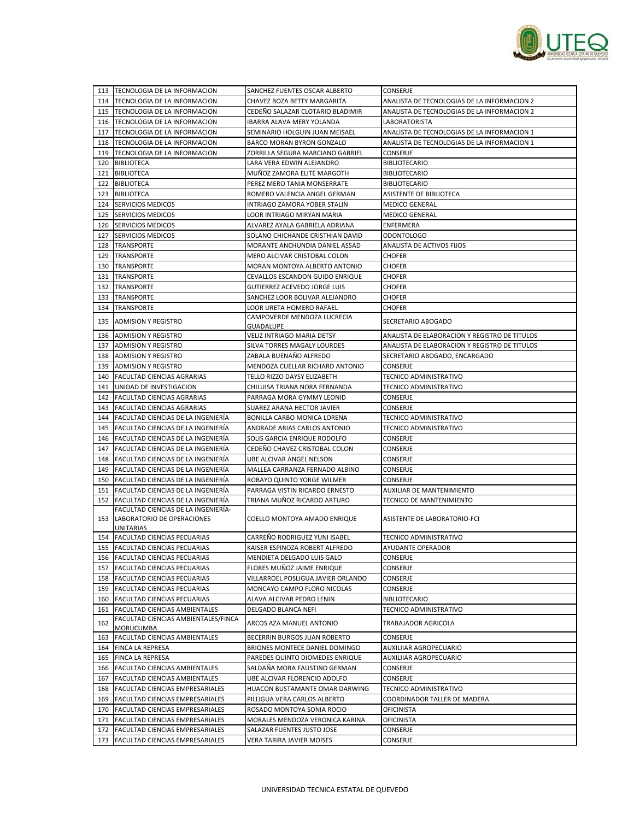

|     | 113 TECNOLOGIA DE LA INFORMACION                                      | SANCHEZ FUENTES OSCAR ALBERTO                              | CONSERJE                                       |
|-----|-----------------------------------------------------------------------|------------------------------------------------------------|------------------------------------------------|
|     | 114 TECNOLOGIA DE LA INFORMACION                                      | CHAVEZ BOZA BETTY MARGARITA                                | ANALISTA DE TECNOLOGIAS DE LA INFORMACION 2    |
|     | 115 TECNOLOGIA DE LA INFORMACION                                      | CEDEÑO SALAZAR CLOTARIO BLADIMIR                           | ANALISTA DE TECNOLOGIAS DE LA INFORMACION 2    |
|     | 116 TECNOLOGIA DE LA INFORMACION                                      | IBARRA ALAVA MERY YOLANDA                                  | LABORATORISTA                                  |
|     | 117 TECNOLOGIA DE LA INFORMACION                                      | SEMINARIO HOLGUIN JUAN MEISAEL                             | ANALISTA DE TECNOLOGIAS DE LA INFORMACION 1    |
|     | 118 TECNOLOGIA DE LA INFORMACION                                      | BARCO MORAN BYRON GONZALO                                  | ANALISTA DE TECNOLOGIAS DE LA INFORMACION 1    |
|     | 119 TECNOLOGIA DE LA INFORMACION                                      | ZORRILLA SEGURA MARCIANO GABRIEL                           | <b>CONSERJE</b>                                |
|     | 120 BIBLIOTECA                                                        | LARA VERA EDWIN ALEJANDRO                                  | <b>BIBLIOTECARIO</b>                           |
|     | 121 BIBLIOTECA                                                        | MUÑOZ ZAMORA ELITE MARGOTH                                 | <b>BIBLIOTECARIO</b>                           |
| 122 |                                                                       | PEREZ MERO TANIA MONSERRATE                                | <b>BIBLIOTECARIO</b>                           |
|     | <b>BIBLIOTECA</b><br>123 BIBLIOTECA                                   | ROMERO VALENCIA ANGEL GERMAN                               | <b>ASISTENTE DE BIBLIOTECA</b>                 |
|     | 124 SERVICIOS MEDICOS                                                 |                                                            |                                                |
|     |                                                                       | INTRIAGO ZAMORA YOBER STALIN<br>LOOR INTRIAGO MIRYAN MARIA | <b>MEDICO GENERAL</b><br><b>MEDICO GENERAL</b> |
| 125 | <b>SERVICIOS MEDICOS</b>                                              |                                                            |                                                |
|     | 126 SERVICIOS MEDICOS                                                 | ALVAREZ AYALA GABRIELA ADRIANA                             | ENFERMERA                                      |
|     | 127 SERVICIOS MEDICOS                                                 | SOLANO CHICHANDE CRISTHIAN DAVID                           | <b>ODONTOLOGO</b>                              |
|     | 128   TRANSPORTE                                                      | MORANTE ANCHUNDIA DANIEL ASSAD                             | ANALISTA DE ACTIVOS FIJOS                      |
|     | 129   TRANSPORTE                                                      | MERO ALCIVAR CRISTOBAL COLON                               | <b>CHOFER</b>                                  |
|     | 130 TRANSPORTE                                                        | MORAN MONTOYA ALBERTO ANTONIO                              | <b>CHOFER</b>                                  |
| 131 | <b>TRANSPORTE</b>                                                     | CEVALLOS ESCANDON GUIDO ENRIQUE                            | <b>CHOFER</b>                                  |
| 132 | <b>TRANSPORTE</b>                                                     | GUTIERREZ ACEVEDO JORGE LUIS                               | <b>CHOFER</b>                                  |
|     | 133 TRANSPORTE                                                        | SANCHEZ LOOR BOLIVAR ALEJANDRO                             | <b>CHOFER</b>                                  |
| 134 | <b>TRANSPORTE</b>                                                     | LOOR URETA HOMERO RAFAEL                                   | <b>CHOFER</b>                                  |
| 135 | <b>ADMISION Y REGISTRO</b>                                            | CAMPOVERDE MENDOZA LUCRECIA                                | SECRETARIO ABOGADO                             |
| 136 | <b>ADMISION Y REGISTRO</b>                                            | GUADALUPE<br>VELIZ INTRIAGO MARIA DETSY                    | ANALISTA DE ELABORACION Y REGISTRO DE TITULOS  |
|     |                                                                       |                                                            |                                                |
| 137 | <b>ADMISION Y REGISTRO</b><br>138 ADMISION Y REGISTRO                 | SILVA TORRES MAGALY LOURDES<br>ZABALA BUENAÑO ALFREDO      | ANALISTA DE ELABORACION Y REGISTRO DE TITULOS  |
|     |                                                                       |                                                            | SECRETARIO ABOGADO, ENCARGADO                  |
| 139 | <b>ADMISION Y REGISTRO</b>                                            | MENDOZA CUELLAR RICHARD ANTONIO                            | CONSERJE                                       |
| 140 | <b>FACULTAD CIENCIAS AGRARIAS</b>                                     | TELLO RIZZO DAYSY ELIZABETH                                | TECNICO ADMINISTRATIVO                         |
|     | 141 UNIDAD DE INVESTIGACION                                           | CHILUISA TRIANA NORA FERNANDA                              | TECNICO ADMINISTRATIVO                         |
|     | 142 FACULTAD CIENCIAS AGRARIAS                                        | PARRAGA MORA GYMMY LEONID                                  | CONSERJE                                       |
| 143 | <b>FACULTAD CIENCIAS AGRARIAS</b>                                     | SUAREZ ARANA HECTOR JAVIER                                 | CONSERJE                                       |
|     | 144   FACULTAD CIENCIAS DE LA INGENIERIA                              | BONILLA CARBO MONICA LORENA                                | TECNICO ADMINISTRATIVO                         |
|     | 145   FACULTAD CIENCIAS DE LA INGENIERÍA                              | ANDRADE ARIAS CARLOS ANTONIO                               | TECNICO ADMINISTRATIVO                         |
| 146 | FACULTAD CIENCIAS DE LA INGENIERÍA                                    | SOLIS GARCIA ENRIQUE RODOLFO                               | CONSERJE                                       |
| 147 | <b>FACULTAD CIENCIAS DE LA INGENIERIA</b>                             | CEDEÑO CHAVEZ CRISTOBAL COLON                              | CONSERJE                                       |
| 148 | <b>FACULTAD CIENCIAS DE LA INGENIERIA</b>                             | UBE ALCIVAR ANGEL NELSON                                   | CONSERJE                                       |
| 149 | FACULTAD CIENCIAS DE LA INGENIERÍA                                    | MALLEA CARRANZA FERNADO ALBINO                             | CONSERJE                                       |
|     | 150 FACULTAD CIENCIAS DE LA INGENIERÍA                                | ROBAYO QUINTO YORGE WILMER                                 | CONSERJE                                       |
|     | 151 FACULTAD CIENCIAS DE LA INGENIERÍA                                | PARRAGA VISTIN RICARDO ERNESTO                             | AUXILIAR DE MANTENIMIENTO                      |
| 152 | FACULTAD CIENCIAS DE LA INGENIERÍA                                    | TRIANA MUÑOZ RICARDO ARTURO                                | TECNICO DE MANTENIMIENTO                       |
|     | FACULTAD CIENCIAS DE LA INGENIERIA-<br>153 LABORATORIO DE OPERACIONES | <b>COELLO MONTOYA AMADO ENRIQUE</b>                        | ASISTENTE DE LABORATORIO-FCI                   |
|     | UNITARIAS                                                             |                                                            |                                                |
|     | 154 FACULTAD CIENCIAS PECUARIAS                                       | CARREÑO RODRIGUEZ YUNI ISABEL                              | TECNICO ADMINISTRATIVO                         |
|     | 155 FACULTAD CIENCIAS PECUARIAS                                       | KAISER ESPINOZA ROBERT ALFREDO                             | AYUDANTE OPERADOR                              |
|     | 156 FACULTAD CIENCIAS PECUARIAS                                       | MENDIETA DELGADO LUIS GALO                                 | CONSERJE                                       |
|     | 157 FACULTAD CIENCIAS PECUARIAS                                       | FLORES MUÑOZ JAIME ENRIQUE                                 | CONSERJE                                       |
|     | 158 FACULTAD CIENCIAS PECUARIAS                                       | VILLARROEL POSLIGUA JAVIER ORLANDO                         | CONSERJE                                       |
|     | 159 FACULTAD CIENCIAS PECUARIAS                                       | MONCAYO CAMPO FLORO NICOLAS                                | CONSERJE                                       |
|     | 160 FACULTAD CIENCIAS PECUARIAS                                       | ALAVA ALCIVAR PEDRO LENIN                                  | <b>BIBLIOTECARIO</b>                           |
| 161 | <b>FACULTAD CIENCIAS AMBIENTALES</b>                                  | DELGADO BLANCA NEFI                                        | TECNICO ADMINISTRATIVO                         |
| 162 | FACULTAD CIENCIAS AMBIENTALES/FINCA<br>MORUCUMBA                      | ARCOS AZA MANUEL ANTONIO                                   | TRABAJADOR AGRICOLA                            |
| 163 | FACULTAD CIENCIAS AMBIENTALES                                         | BECERRIN BURGOS JUAN ROBERTO                               | CONSERJE                                       |
|     | 164 FINCA LA REPRESA                                                  | BRIONES MONTECE DANIEL DOMINGO                             | AUXILIIAR AGROPECUARIO                         |
|     | 165 FINCA LA REPRESA                                                  | PAREDES QUINTO DIOMEDES ENRIQUE                            | AUXILIIAR AGROPECUARIO                         |
| 166 | <b>FACULTAD CIENCIAS AMBIENTALES</b>                                  | SALDAÑA MORA FAUSTINO GERMAN                               | CONSERJE                                       |
|     | 167 FACULTAD CIENCIAS AMBIENTALES                                     | UBE ALCIVAR FLORENCIO ADOLFO                               | CONSERJE                                       |
|     | 168 FACULTAD CIENCIAS EMPRESARIALES                                   | HUACON BUSTAMANTE OMAR DARWING                             | TECNICO ADMINISTRATIVO                         |
| 169 | <b>FACULTAD CIENCIAS EMPRESARIALES</b>                                | PILLIGUA VERA CARLOS ALBERTO                               | COORDINADOR TALLER DE MADERA                   |
|     | 170 FACULTAD CIENCIAS EMPRESARIALES                                   | ROSADO MONTOYA SONIA ROCIO                                 | OFICINISTA                                     |
|     | 171 FACULTAD CIENCIAS EMPRESARIALES                                   | MORALES MENDOZA VERONICA KARINA                            | <b>OFICINISTA</b>                              |
|     | 172 FACULTAD CIENCIAS EMPRESARIALES                                   | SALAZAR FUENTES JUSTO JOSE                                 | CONSERJE                                       |
|     | 173 FACULTAD CIENCIAS EMPRESARIALES                                   | VERA TARIRA JAVIER MOISES                                  | CONSERJE                                       |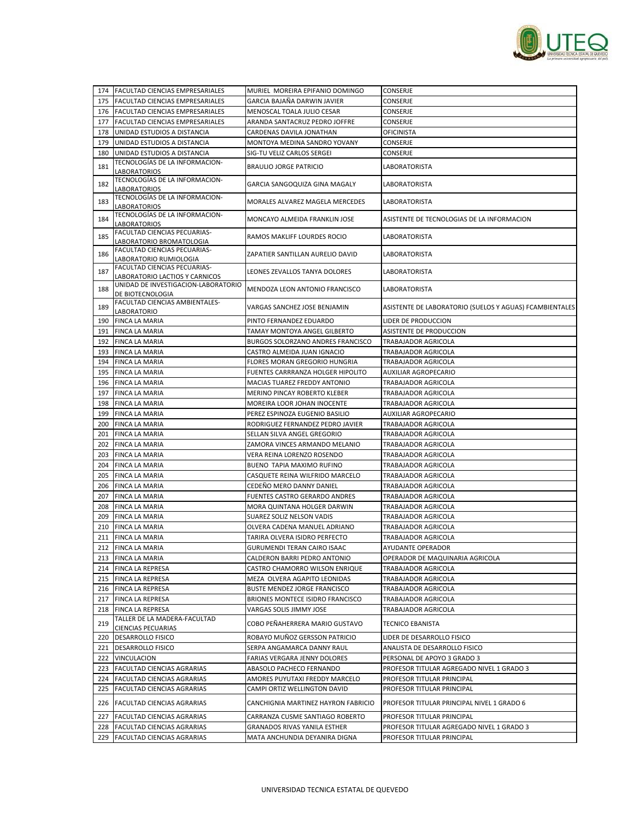

|     | 174 FACULTAD CIENCIAS EMPRESARIALES                                   | MURIEL MOREIRA EPIFANIO DOMINGO      | CONSERJE                                                |
|-----|-----------------------------------------------------------------------|--------------------------------------|---------------------------------------------------------|
|     | 175 FACULTAD CIENCIAS EMPRESARIALES                                   | GARCIA BAJAÑA DARWIN JAVIER          | CONSERJE                                                |
| 176 | <b>FACULTAD CIENCIAS EMPRESARIALES</b>                                | MENOSCAL TOALA JULIO CESAR           | CONSERJE                                                |
| 177 | FACULTAD CIENCIAS EMPRESARIALES                                       | ARANDA SANTACRUZ PEDRO JOFFRE        | <b>CONSERJE</b>                                         |
| 178 | UNIDAD ESTUDIOS A DISTANCIA                                           | CARDENAS DAVILA JONATHAN             | OFICINISTA                                              |
| 179 | UNIDAD ESTUDIOS A DISTANCIA                                           | MONTOYA MEDINA SANDRO YOVANY         | CONSERJE                                                |
| 180 | UNIDAD ESTUDIOS A DISTANCIA                                           | SIG-TU VELIZ CARLOS SERGEI           | CONSERJE                                                |
|     | TECNOLOGÍAS DE LA INFORMACION-                                        |                                      |                                                         |
| 181 | LABORATORIOS                                                          | <b>BRAULIO JORGE PATRICIO</b>        | LABORATORISTA                                           |
| 182 | TECNOLOGÍAS DE LA INFORMACION-                                        |                                      | LABORATORISTA                                           |
|     | <b>LABORATORIOS</b>                                                   | GARCIA SANGOQUIZA GINA MAGALY        |                                                         |
| 183 | TECNOLOGÍAS DE LA INFORMACION-                                        | MORALES ALVAREZ MAGELA MERCEDES      | LABORATORISTA                                           |
|     | LABORATORIOS<br>TECNOLOGÍAS DE LA INFORMACION-                        |                                      |                                                         |
| 184 | <b>LABORATORIOS</b>                                                   | MONCAYO ALMEIDA FRANKLIN JOSE        | ASISTENTE DE TECNOLOGIAS DE LA INFORMACION              |
|     | FACULTAD CIENCIAS PECUARIAS-                                          |                                      |                                                         |
| 185 | LABORATORIO BROMATOLOGIA                                              | RAMOS MAKLIFF LOURDES ROCIO          | <b>LABORATORISTA</b>                                    |
| 186 | FACULTAD CIENCIAS PECUARIAS-                                          | ZAPATIER SANTILLAN AURELIO DAVID     | LABORATORISTA                                           |
|     | LABORATORIO RUMIOLOGIA                                                |                                      |                                                         |
| 187 | FACULTAD CIENCIAS PECUARIAS-                                          | LEONES ZEVALLOS TANYA DOLORES        | LABORATORISTA                                           |
|     | LABORATORIO LACTIOS Y CARNICOS<br>UNIDAD DE INVESTIGACION-LABORATORIO |                                      |                                                         |
| 188 | DE BIOTECNOLOGIA                                                      | MENDOZA LEON ANTONIO FRANCISCO       | LABORATORISTA                                           |
|     | FACULTAD CIENCIAS AMBIENTALES-                                        |                                      |                                                         |
| 189 | LABORATORIO                                                           | VARGAS SANCHEZ JOSE BENJAMIN         | ASISTENTE DE LABORATORIO (SUELOS Y AGUAS) FCAMBIENTALES |
| 190 | FINCA LA MARIA                                                        | PINTO FERNANDEZ EDUARDO              | LIDER DE PRODUCCION                                     |
| 191 | <b>FINCA LA MARIA</b>                                                 | TAMAY MONTOYA ANGEL GILBERTO         | ASISTENTE DE PRODUCCION                                 |
| 192 | <b>FINCA LA MARIA</b>                                                 | BURGOS SOLORZANO ANDRES FRANCISCO    | TRABAJADOR AGRICOLA                                     |
| 193 | <b>FINCA LA MARIA</b>                                                 | CASTRO ALMEIDA JUAN IGNACIO          | TRABAJADOR AGRICOLA                                     |
| 194 | <b>FINCA LA MARIA</b>                                                 | FLORES MORAN GREGORIO HUNGRIA        | TRABAJADOR AGRICOLA                                     |
| 195 | <b>FINCA LA MARIA</b>                                                 | FUENTES CARRRANZA HOLGER HIPOLITO    | <b>AUXILIAR AGROPECARIO</b>                             |
| 196 | FINCA LA MARIA                                                        | MACIAS TUAREZ FREDDY ANTONIO         | TRABAJADOR AGRICOLA                                     |
| 197 | FINCA LA MARIA                                                        | MERINO PINCAY ROBERTO KLEBER         | TRABAJADOR AGRICOLA                                     |
| 198 | <b>FINCA LA MARIA</b>                                                 | MOREIRA LOOR JOHAN INOCENTE          | TRABAJADOR AGRICOLA                                     |
| 199 | <b>FINCA LA MARIA</b>                                                 | PEREZ ESPINOZA EUGENIO BASILIO       | AUXILIAR AGROPECARIO                                    |
| 200 | <b>FINCA LA MARIA</b>                                                 | RODRIGUEZ FERNANDEZ PEDRO JAVIER     | TRABAJADOR AGRICOLA                                     |
| 201 | <b>FINCA LA MARIA</b>                                                 | SELLAN SILVA ANGEL GREGORIO          | TRABAJADOR AGRICOLA                                     |
| 202 | <b>FINCA LA MARIA</b>                                                 | ZAMORA VINCES ARMANDO MELANIO        | TRABAJADOR AGRICOLA                                     |
| 203 | <b>FINCA LA MARIA</b>                                                 | VERA REINA LORENZO ROSENDO           | TRABAJADOR AGRICOLA                                     |
| 204 | <b>FINCA LA MARIA</b>                                                 | BUENO TAPIA MAXIMO RUFINO            | TRABAJADOR AGRICOLA                                     |
| 205 | <b>FINCA LA MARIA</b>                                                 | CASQUETE REINA WILFRIDO MARCELO      | TRABAJADOR AGRICOLA                                     |
| 206 | <b>FINCA LA MARIA</b>                                                 | CEDEÑO MERO DANNY DANIEL             | TRABAJADOR AGRICOLA                                     |
| 207 | <b>FINCA LA MARIA</b>                                                 | <b>FUENTES CASTRO GERARDO ANDRES</b> | TRABAJADOR AGRICOLA                                     |
| 208 | <b>FINCA LA MARIA</b>                                                 | MORA QUINTANA HOLGER DARWIN          | TRABAJADOR AGRICOLA                                     |
| 209 | <b>FINCA LA MARIA</b>                                                 | SUAREZ SOLIZ NELSON VADIS            | TRABAJADOR AGRICOLA                                     |
| 210 | <b>FINCA LA MARIA</b>                                                 | OLVERA CADENA MANUEL ADRIANO         | TRABAJADOR AGRICOLA                                     |
|     |                                                                       |                                      |                                                         |
| 211 | <b>FINCA LA MARIA</b>                                                 | TARIRA OLVERA ISIDRO PERFECTO        | TRABAJADOR AGRICOLA<br>AYUDANTE OPERADOR                |
|     | 212 FINCA LA MARIA                                                    | GURUMENDI TERAN CAIRO ISAAC          |                                                         |
|     | 213 FINCA LA MARIA                                                    | CALDERON BARRI PEDRO ANTONIO         | OPERADOR DE MAQUINARIA AGRICOLA                         |
|     | 214 FINCA LA REPRESA                                                  | CASTRO CHAMORRO WILSON ENRIQUE       | TRABAJADOR AGRICOLA                                     |
|     | 215 FINCA LA REPRESA                                                  | MEZA OLVERA AGAPITO LEONIDAS         | TRABAJADOR AGRICOLA                                     |
|     | 216 FINCA LA REPRESA                                                  | <b>BUSTE MENDEZ JORGE FRANCISCO</b>  | TRABAJADOR AGRICOLA                                     |
|     | 217 FINCA LA REPRESA                                                  | BRIONES MONTECE ISIDRO FRANCISCO     | TRABAJADOR AGRICOLA                                     |
|     | 218 FINCA LA REPRESA                                                  | VARGAS SOLIS JIMMY JOSE              | TRABAJADOR AGRICOLA                                     |
| 219 | TALLER DE LA MADERA-FACULTAD<br><b>CIENCIAS PECUARIAS</b>             | COBO PEÑAHERRERA MARIO GUSTAVO       | <b>TECNICO EBANISTA</b>                                 |
|     | 220 DESARROLLO FISICO                                                 | ROBAYO MUÑOZ GERSSON PATRICIO        | LIDER DE DESARROLLO FISICO                              |
|     | 221   DESARROLLO FISICO                                               | SERPA ANGAMARCA DANNY RAUL           | ANALISTA DE DESARROLLO FISICO                           |
|     | 222 VINCULACION                                                       | FARIAS VERGARA JENNY DOLORES         | PERSONAL DE APOYO 3 GRADO 3                             |
|     | 223 FACULTAD CIENCIAS AGRARIAS                                        | ABASOLO PACHECO FERNANDO             | PROFESOR TITULAR AGREGADO NIVEL 1 GRADO 3               |
|     | 224 FACULTAD CIENCIAS AGRARIAS                                        | AMORES PUYUTAXI FREDDY MARCELO       | PROFESOR TITULAR PRINCIPAL                              |
| 225 | <b>FACULTAD CIENCIAS AGRARIAS</b>                                     | CAMPI ORTIZ WELLINGTON DAVID         | PROFESOR TITULAR PRINCIPAL                              |
|     |                                                                       |                                      |                                                         |
|     | 226 FACULTAD CIENCIAS AGRARIAS                                        | CANCHIGNIA MARTINEZ HAYRON FABRICIO  | PROFESOR TITULAR PRINCIPAL NIVEL 1 GRADO 6              |
| 227 | <b>FACULTAD CIENCIAS AGRARIAS</b>                                     | CARRANZA CUSME SANTIAGO ROBERTO      | PROFESOR TITULAR PRINCIPAL                              |
|     | 228 FACULTAD CIENCIAS AGRARIAS                                        | GRANADOS RIVAS YANILA ESTHER         | PROFESOR TITULAR AGREGADO NIVEL 1 GRADO 3               |
|     | 229 FACULTAD CIENCIAS AGRARIAS                                        | MATA ANCHUNDIA DEYANIRA DIGNA        | PROFESOR TITULAR PRINCIPAL                              |
|     |                                                                       |                                      |                                                         |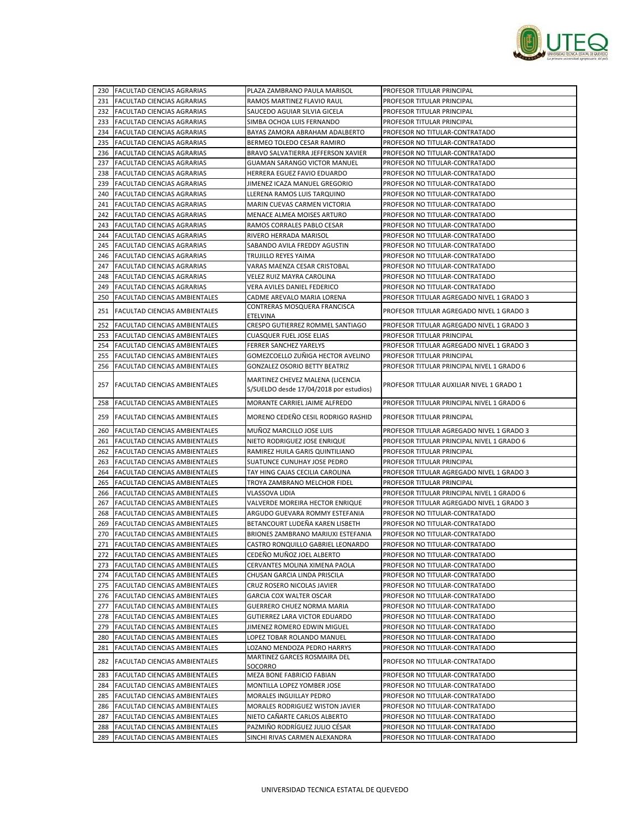

|     | 230 FACULTAD CIENCIAS AGRARIAS       | PLAZA ZAMBRANO PAULA MARISOL                                                | PROFESOR TITULAR PRINCIPAL                 |
|-----|--------------------------------------|-----------------------------------------------------------------------------|--------------------------------------------|
|     | 231 FACULTAD CIENCIAS AGRARIAS       | RAMOS MARTINEZ FLAVIO RAUL                                                  | PROFESOR TITULAR PRINCIPAL                 |
|     | 232 FACULTAD CIENCIAS AGRARIAS       | SAUCEDO AGUIAR SILVIA GICELA                                                | PROFESOR TITULAR PRINCIPAL                 |
|     | 233 FACULTAD CIENCIAS AGRARIAS       | SIMBA OCHOA LUIS FERNANDO                                                   | PROFESOR TITULAR PRINCIPAL                 |
| 234 | <b>FACULTAD CIENCIAS AGRARIAS</b>    | BAYAS ZAMORA ABRAHAM ADALBERTO                                              | PROFESOR NO TITULAR-CONTRATADO             |
| 235 | <b>FACULTAD CIENCIAS AGRARIAS</b>    | BERMEO TOLEDO CESAR RAMIRO                                                  | PROFESOR NO TITULAR-CONTRATADO             |
|     | 236 FACULTAD CIENCIAS AGRARIAS       | BRAVO SALVATIERRA JEFFERSON XAVIER                                          | PROFESOR NO TITULAR-CONTRATADO             |
|     | 237 FACULTAD CIENCIAS AGRARIAS       | <b>GUAMAN SARANGO VICTOR MANUEL</b>                                         | PROFESOR NO TITULAR-CONTRATADO             |
|     | 238 FACULTAD CIENCIAS AGRARIAS       | HERRERA EGUEZ FAVIO EDUARDO                                                 | PROFESOR NO TITULAR-CONTRATADO             |
|     | 239 FACULTAD CIENCIAS AGRARIAS       | JIMENEZ ICAZA MANUEL GREGORIO                                               | PROFESOR NO TITULAR-CONTRATADO             |
|     | 240 FACULTAD CIENCIAS AGRARIAS       | LLERENA RAMOS LUIS TARQUINO                                                 | PROFESOR NO TITULAR-CONTRATADO             |
| 241 | FACULTAD CIENCIAS AGRARIAS           | MARIN CUEVAS CARMEN VICTORIA                                                | PROFESOR NO TITULAR-CONTRATADO             |
| 242 | FACULTAD CIENCIAS AGRARIAS           | MENACE ALMEA MOISES ARTURO                                                  | PROFESOR NO TITULAR-CONTRATADO             |
|     | 243 FACULTAD CIENCIAS AGRARIAS       | RAMOS CORRALES PABLO CESAR                                                  | PROFESOR NO TITULAR-CONTRATADO             |
| 244 | FACULTAD CIENCIAS AGRARIAS           | RIVERO HERRADA MARISOL                                                      | PROFESOR NO TITULAR-CONTRATADO             |
| 245 | FACULTAD CIENCIAS AGRARIAS           | SABANDO AVILA FREDDY AGUSTIN                                                | PROFESOR NO TITULAR-CONTRATADO             |
|     | 246 FACULTAD CIENCIAS AGRARIAS       | TRUJILLO REYES YAIMA                                                        | PROFESOR NO TITULAR-CONTRATADO             |
| 247 | <b>FACULTAD CIENCIAS AGRARIAS</b>    | VARAS MAENZA CESAR CRISTOBAL                                                | PROFESOR NO TITULAR-CONTRATADO             |
| 248 | FACULTAD CIENCIAS AGRARIAS           | VELEZ RUIZ MAYRA CAROLINA                                                   | PROFESOR NO TITULAR-CONTRATADO             |
|     | 249 FACULTAD CIENCIAS AGRARIAS       | VERA AVILES DANIEL FEDERICO                                                 | PROFESOR NO TITULAR-CONTRATADO             |
| 250 | <b>FACULTAD CIENCIAS AMBIENTALES</b> | CADME AREVALO MARIA LORENA                                                  | PROFESOR TITULAR AGREGADO NIVEL 1 GRADO 3  |
|     |                                      | CONTRERAS MOSQUERA FRANCISCA                                                |                                            |
|     | 251 FACULTAD CIENCIAS AMBIENTALES    | <b>ETELVINA</b>                                                             | PROFESOR TITULAR AGREGADO NIVEL 1 GRADO 3  |
| 252 | <b>FACULTAD CIENCIAS AMBIENTALES</b> | CRESPO GUTIERREZ ROMMEL SANTIAGO                                            | PROFESOR TITULAR AGREGADO NIVEL 1 GRADO 3  |
| 253 | FACULTAD CIENCIAS AMBIENTALES        | <b>CUASQUER FUEL JOSE ELIAS</b>                                             | PROFESOR TITULAR PRINCIPAL                 |
|     | 254 FACULTAD CIENCIAS AMBIENTALES    | FERRER SANCHEZ YARELYS                                                      | PROFESOR TITULAR AGREGADO NIVEL 1 GRADO 3  |
| 255 | FACULTAD CIENCIAS AMBIENTALES        | GOMEZCOELLO ZUÑIGA HECTOR AVELINO                                           | PROFESOR TITULAR PRINCIPAL                 |
| 256 | FACULTAD CIENCIAS AMBIENTALES        | <b>GONZALEZ OSORIO BETTY BEATRIZ</b>                                        | PROFESOR TITULAR PRINCIPAL NIVEL 1 GRADO 6 |
|     | 257 FACULTAD CIENCIAS AMBIENTALES    | MARTINEZ CHEVEZ MALENA (LICENCIA<br>S/SUELDO desde 17/04/2018 por estudios) | PROFESOR TITULAR AUXILIAR NIVEL 1 GRADO 1  |
| 258 | FACULTAD CIENCIAS AMBIENTALES        | MORANTE CARRIEL JAIME ALFREDO                                               | PROFESOR TITULAR PRINCIPAL NIVEL 1 GRADO 6 |
|     | 259 FACULTAD CIENCIAS AMBIENTALES    | MORENO CEDEÑO CESIL RODRIGO RASHID                                          | PROFESOR TITULAR PRINCIPAL                 |
| 260 | <b>FACULTAD CIENCIAS AMBIENTALES</b> | MUÑOZ MARCILLO JOSE LUIS                                                    | PROFESOR TITULAR AGREGADO NIVEL 1 GRADO 3  |
| 261 | <b>FACULTAD CIENCIAS AMBIENTALES</b> | NIETO RODRIGUEZ JOSE ENRIQUE                                                | PROFESOR TITULAR PRINCIPAL NIVEL 1 GRADO 6 |
|     | 262 FACULTAD CIENCIAS AMBIENTALES    | RAMIREZ HUILA GARIS QUINTILIANO                                             | PROFESOR TITULAR PRINCIPAL                 |
| 263 | <b>FACULTAD CIENCIAS AMBIENTALES</b> | SUATUNCE CUNUHAY JOSE PEDRO                                                 | PROFESOR TITULAR PRINCIPAL                 |
| 264 | FACULTAD CIENCIAS AMBIENTALES        | TAY HING CAJAS CECILIA CAROLINA                                             | PROFESOR TITULAR AGREGADO NIVEL 1 GRADO 3  |
|     | 265 FACULTAD CIENCIAS AMBIENTALES    | TROYA ZAMBRANO MELCHOR FIDEL                                                | PROFESOR TITULAR PRINCIPAL                 |
| 266 | <b>FACULTAD CIENCIAS AMBIENTALES</b> | VLASSOVA LIDIA                                                              | PROFESOR TITULAR PRINCIPAL NIVEL 1 GRADO 6 |
| 267 | FACULTAD CIENCIAS AMBIENTALES        | VALVERDE MOREIRA HECTOR ENRIQUE                                             | PROFESOR TITULAR AGREGADO NIVEL 1 GRADO 3  |
|     | 268 FACULTAD CIENCIAS AMBIENTALES    | ARGUDO GUEVARA ROMMY ESTEFANIA                                              | PROFESOR NO TITULAR-CONTRATADO             |
| 269 | FACULTAD CIENCIAS AMBIENTALES        | BETANCOURT LUDEÑA KAREN LISBETH                                             | PROFESOR NO TITULAR-CONTRATADO             |
| 270 | FACULTAD CIENCIAS AMBIENTALES        | BRIONES ZAMBRANO MARIUXI ESTEFANIA                                          | PROFESOR NO TITULAR-CONTRATADO             |
|     | 271 FACULTAD CIENCIAS AMBIENTALES    | CASTRO RONQUILLO GABRIEL LEONARDO                                           | PROFESOR NO TITULAR-CONTRATADO             |
|     | 272 FACULTAD CIENCIAS AMBIENTALES    | CEDEÑO MUÑOZ JOEL ALBERTO                                                   | PROFESOR NO TITULAR-CONTRATADO             |
| 273 | FACULTAD CIENCIAS AMBIENTALES        | CERVANTES MOLINA XIMENA PAOLA                                               | PROFESOR NO TITULAR-CONTRATADO             |
|     | 274 FACULTAD CIENCIAS AMBIENTALES    | CHUSAN GARCIA LINDA PRISCILA                                                | PROFESOR NO TITULAR-CONTRATADO             |
|     | 275 FACULTAD CIENCIAS AMBIENTALES    | CRUZ ROSERO NICOLAS JAVIER                                                  | PROFESOR NO TITULAR-CONTRATADO             |
|     | 276 FACULTAD CIENCIAS AMBIENTALES    | GARCIA COX WALTER OSCAR                                                     | PROFESOR NO TITULAR-CONTRATADO             |
|     | 277 FACULTAD CIENCIAS AMBIENTALES    | GUERRERO CHUEZ NORMA MARIA                                                  | PROFESOR NO TITULAR-CONTRATADO             |
| 278 | <b>FACULTAD CIENCIAS AMBIENTALES</b> | GUTIERREZ LARA VICTOR EDUARDO                                               | PROFESOR NO TITULAR-CONTRATADO             |
| 279 | FACULTAD CIENCIAS AMBIENTALES        | JIMENEZ ROMERO EDWIN MIGUEL                                                 | PROFESOR NO TITULAR-CONTRATADO             |
| 280 | FACULTAD CIENCIAS AMBIENTALES        | LOPEZ TOBAR ROLANDO MANUEL                                                  | PROFESOR NO TITULAR-CONTRATADO             |
| 281 | <b>FACULTAD CIENCIAS AMBIENTALES</b> | LOZANO MENDOZA PEDRO HARRYS                                                 | PROFESOR NO TITULAR-CONTRATADO             |
| 282 | FACULTAD CIENCIAS AMBIENTALES        | MARTINEZ GARCES ROSMAIRA DEL<br>SOCORRO                                     | PROFESOR NO TITULAR-CONTRATADO             |
| 283 | FACULTAD CIENCIAS AMBIENTALES        | <b>MEZA BONE FABRICIO FABIAN</b>                                            | PROFESOR NO TITULAR-CONTRATADO             |
| 284 | FACULTAD CIENCIAS AMBIENTALES        | MONTILLA LOPEZ YOMBER JOSE                                                  | PROFESOR NO TITULAR-CONTRATADO             |
| 285 | FACULTAD CIENCIAS AMBIENTALES        | MORALES INGUILLAY PEDRO                                                     | PROFESOR NO TITULAR-CONTRATADO             |
| 286 | FACULTAD CIENCIAS AMBIENTALES        | MORALES RODRIGUEZ WISTON JAVIER                                             | PROFESOR NO TITULAR-CONTRATADO             |
| 287 | FACULTAD CIENCIAS AMBIENTALES        | NIETO CAÑARTE CARLOS ALBERTO                                                | PROFESOR NO TITULAR-CONTRATADO             |
| 288 | FACULTAD CIENCIAS AMBIENTALES        | PAZMIÑO RODRÍGUEZ JULIO CÉSAR                                               | PROFESOR NO TITULAR-CONTRATADO             |
|     | 289 FACULTAD CIENCIAS AMBIENTALES    | SINCHI RIVAS CARMEN ALEXANDRA                                               | PROFESOR NO TITULAR-CONTRATADO             |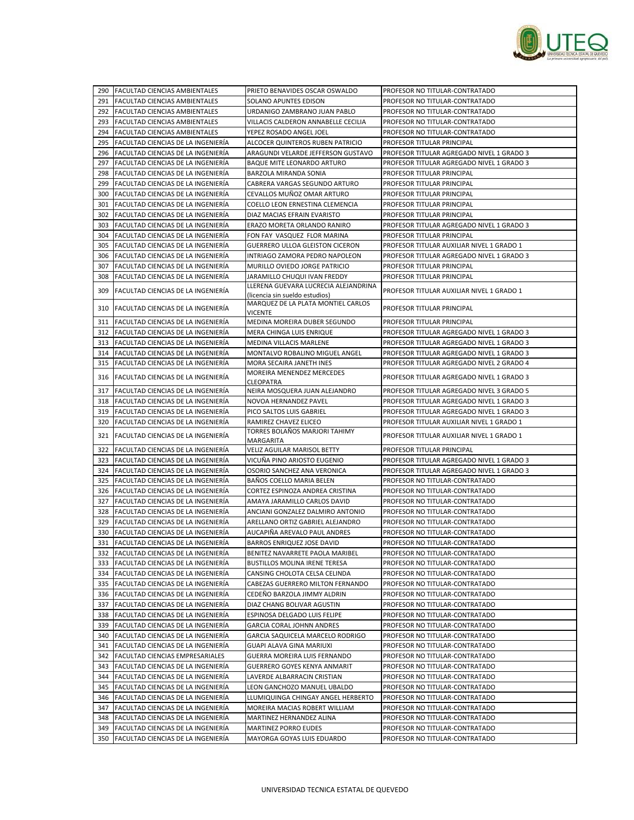

|     | 290 FACULTAD CIENCIAS AMBIENTALES         | PRIETO BENAVIDES OSCAR OSWALDO             | PROFESOR NO TITULAR-CONTRATADO            |
|-----|-------------------------------------------|--------------------------------------------|-------------------------------------------|
|     | 291 FACULTAD CIENCIAS AMBIENTALES         | SOLANO APUNTES EDISON                      | PROFESOR NO TITULAR-CONTRATADO            |
|     | 292 FACULTAD CIENCIAS AMBIENTALES         | URDANIGO ZAMBRANO JUAN PABLO               | PROFESOR NO TITULAR-CONTRATADO            |
| 293 | <b>FACULTAD CIENCIAS AMBIENTALES</b>      | VILLACIS CALDERON ANNABELLE CECILIA        | PROFESOR NO TITULAR-CONTRATADO            |
|     | 294 FACULTAD CIENCIAS AMBIENTALES         | YEPEZ ROSADO ANGEL JOEL                    | PROFESOR NO TITULAR-CONTRATADO            |
| 295 | FACULTAD CIENCIAS DE LA INGENIERÍA        | ALCOCER QUINTEROS RUBEN PATRICIO           | PROFESOR TITULAR PRINCIPAL                |
|     | 296 FACULTAD CIENCIAS DE LA INGENIERÍA    | ARAGUNDI VELARDE JEFFERSON GUSTAVO         | PROFESOR TITULAR AGREGADO NIVEL 1 GRADO 3 |
| 297 | FACULTAD CIENCIAS DE LA INGENIERÍA        | BAQUE MITE LEONARDO ARTURO                 | PROFESOR TITULAR AGREGADO NIVEL 1 GRADO 3 |
|     | 298 FACULTAD CIENCIAS DE LA INGENIERÍA    | BARZOLA MIRANDA SONIA                      | PROFESOR TITULAR PRINCIPAL                |
| 299 | FACULTAD CIENCIAS DE LA INGENIERÍA        | CABRERA VARGAS SEGUNDO ARTURO              | PROFESOR TITULAR PRINCIPAL                |
| 300 | FACULTAD CIENCIAS DE LA INGENIERÍA        | CEVALLOS MUÑOZ OMAR ARTURO                 | PROFESOR TITULAR PRINCIPAL                |
| 301 | FACULTAD CIENCIAS DE LA INGENIERÍA        | COELLO LEON ERNESTINA CLEMENCIA            | PROFESOR TITULAR PRINCIPAL                |
| 302 | <b>FACULTAD CIENCIAS DE LA INGENIERÍA</b> | DIAZ MACIAS EFRAIN EVARISTO                | PROFESOR TITULAR PRINCIPAL                |
| 303 | <b>FACULTAD CIENCIAS DE LA INGENIERÍA</b> | ERAZO MORETA ORLANDO RANIRO                | PROFESOR TITULAR AGREGADO NIVEL 1 GRADO 3 |
|     | 304 FACULTAD CIENCIAS DE LA INGENIERÍA    | FON FAY VASQUEZ FLOR MARINA                | PROFESOR TITULAR PRINCIPAL                |
| 305 | FACULTAD CIENCIAS DE LA INGENIERÍA        | GUERRERO ULLOA GLEISTON CICERON            | PROFESOR TITULAR AUXILIAR NIVEL 1 GRADO 1 |
|     | 306 FACULTAD CIENCIAS DE LA INGENIERÍA    | INTRIAGO ZAMORA PEDRO NAPOLEON             | PROFESOR TITULAR AGREGADO NIVEL 1 GRADO 3 |
| 307 | FACULTAD CIENCIAS DE LA INGENIERÍA        | MURILLO OVIEDO JORGE PATRICIO              | PROFESOR TITULAR PRINCIPAL                |
| 308 | FACULTAD CIENCIAS DE LA INGENIERÍA        | JARAMILLO CHUQUI IVAN FREDDY               | PROFESOR TITULAR PRINCIPAL                |
|     |                                           | LLERENA GUEVARA LUCRECIA ALEJANDRINA       |                                           |
| 309 | FACULTAD CIENCIAS DE LA INGENIERÍA        | (licencia sin sueldo estudios)             | PROFESOR TITULAR AUXILIAR NIVEL 1 GRADO 1 |
| 310 | <b>FACULTAD CIENCIAS DE LA INGENIERÍA</b> | MARQUEZ DE LA PLATA MONTIEL CARLOS         | PROFESOR TITULAR PRINCIPAL                |
|     |                                           | <b>VICENTE</b>                             |                                           |
|     | 311 FACULTAD CIENCIAS DE LA INGENIERÍA    | MEDINA MOREIRA DUBER SEGUNDO               | PROFESOR TITULAR PRINCIPAL                |
|     | 312 FACULTAD CIENCIAS DE LA INGENIERÍA    | MERA CHINGA LUIS ENRIQUE                   | PROFESOR TITULAR AGREGADO NIVEL 1 GRADO 3 |
|     | 313 FACULTAD CIENCIAS DE LA INGENIERÍA    | MEDINA VILLACIS MARLENE                    | PROFESOR TITULAR AGREGADO NIVEL 1 GRADO 3 |
|     | 314 FACULTAD CIENCIAS DE LA INGENIERÍA    | MONTALVO ROBALINO MIGUEL ANGEL             | PROFESOR TITULAR AGREGADO NIVEL 1 GRADO 3 |
| 315 | <b>FACULTAD CIENCIAS DE LA INGENIERÍA</b> | MORA SECAIRA JANETH INES                   | PROFESOR TITULAR AGREGADO NIVEL 2 GRADO 4 |
|     | 316 FACULTAD CIENCIAS DE LA INGENIERÍA    | MOREIRA MENENDEZ MERCEDES                  | PROFESOR TITULAR AGREGADO NIVEL 1 GRADO 3 |
| 317 | FACULTAD CIENCIAS DE LA INGENIERÍA        | CLEOPATRA<br>NEIRA MOSQUERA JUAN ALEJANDRO | PROFESOR TITULAR AGREGADO NIVEL 3 GRADO 5 |
|     | 318 FACULTAD CIENCIAS DE LA INGENIERÍA    | NOVOA HERNANDEZ PAVEL                      | PROFESOR TITULAR AGREGADO NIVEL 1 GRADO 3 |
|     | 319 FACULTAD CIENCIAS DE LA INGENIERÍA    | PICO SALTOS LUIS GABRIEL                   | PROFESOR TITULAR AGREGADO NIVEL 1 GRADO 3 |
|     |                                           |                                            |                                           |
|     |                                           |                                            |                                           |
| 320 | <b>FACULTAD CIENCIAS DE LA INGENIERÍA</b> | RAMIREZ CHAVEZ ELICEO                      | PROFESOR TITULAR AUXILIAR NIVEL 1 GRADO 1 |
| 321 | FACULTAD CIENCIAS DE LA INGENIERÍA        | TORRES BOLAÑOS MARJORI TAHIMY<br>MARGARITA | PROFESOR TITULAR AUXILIAR NIVEL 1 GRADO 1 |
|     | 322 FACULTAD CIENCIAS DE LA INGENIERÍA    | VELIZ AGUILAR MARISOL BETTY                | PROFESOR TITULAR PRINCIPAL                |
|     | 323 FACULTAD CIENCIAS DE LA INGENIERÍA    | VICUÑA PINO ARIOSTO EUGENIO                | PROFESOR TITULAR AGREGADO NIVEL 1 GRADO 3 |
|     | 324 FACULTAD CIENCIAS DE LA INGENIERÍA    | OSORIO SANCHEZ ANA VERONICA                | PROFESOR TITULAR AGREGADO NIVEL 1 GRADO 3 |
|     | 325 FACULTAD CIENCIAS DE LA INGENIERÍA    | BAÑOS COELLO MARIA BELEN                   | PROFESOR NO TITULAR-CONTRATADO            |
|     | 326 FACULTAD CIENCIAS DE LA INGENIERÍA    | CORTEZ ESPINOZA ANDREA CRISTINA            | PROFESOR NO TITULAR-CONTRATADO            |
|     | 327 FACULTAD CIENCIAS DE LA INGENIERÍA    | AMAYA JARAMILLO CARLOS DAVID               | PROFESOR NO TITULAR-CONTRATADO            |
| 328 | FACULTAD CIENCIAS DE LA INGENIERÍA        | ANCIANI GONZALEZ DALMIRO ANTONIO           | PROFESOR NO TITULAR-CONTRATADO            |
| 329 | FACULTAD CIENCIAS DE LA INGENIERÍA        | ARELLANO ORTIZ GABRIEL ALEJANDRO           | PROFESOR NO TITULAR-CONTRATADO            |
| 330 | <b>FACULTAD CIENCIAS DE LA INGENIERÍA</b> | AUCAPIÑA AREVALO PAUL ANDRES               | PROFESOR NO TITULAR-CONTRATADO            |
| 331 | FACULTAD CIENCIAS DE LA INGENIERÍA        | <b>BARROS ENRIQUEZ JOSE DAVID</b>          | PROFESOR NO TITULAR-CONTRATADO            |
|     | 332 FACULTAD CIENCIAS DE LA INGENIERÍA    | BENITEZ NAVARRETE PAOLA MARIBEL            | PROFESOR NO TITULAR-CONTRATADO            |
|     | 333 FACULTAD CIENCIAS DE LA INGENIERÍA    | BUSTILLOS MOLINA IRENE TERESA              | PROFESOR NO TITULAR-CONTRATADO            |
|     | 334 FACULTAD CIENCIAS DE LA INGENIERÍA    | CANSING CHOLOTA CELSA CELINDA              | PROFESOR NO TITULAR-CONTRATADO            |
|     | 335 FACULTAD CIENCIAS DE LA INGENIERÍA    | CABEZAS GUERRERO MILTON FERNANDO           | PROFESOR NO TITULAR-CONTRATADO            |
|     | 336 FACULTAD CIENCIAS DE LA INGENIERÍA    | CEDEÑO BARZOLA JIMMY ALDRIN                | PROFESOR NO TITULAR-CONTRATADO            |
|     | 337 FACULTAD CIENCIAS DE LA INGENIERÍA    | DIAZ CHANG BOLIVAR AGUSTIN                 | PROFESOR NO TITULAR-CONTRATADO            |
|     | 338 FACULTAD CIENCIAS DE LA INGENIERÍA    | ESPINOSA DELGADO LUIS FELIPE               | PROFESOR NO TITULAR-CONTRATADO            |
| 339 | FACULTAD CIENCIAS DE LA INGENIERÍA        | GARCIA CORAL JOHNN ANDRES                  | PROFESOR NO TITULAR-CONTRATADO            |
| 340 | FACULTAD CIENCIAS DE LA INGENIERÍA        | GARCIA SAQUICELA MARCELO RODRIGO           | PROFESOR NO TITULAR-CONTRATADO            |
| 341 | FACULTAD CIENCIAS DE LA INGENIERÍA        | GUAPI ALAVA GINA MARIUXI                   | PROFESOR NO TITULAR-CONTRATADO            |
|     | 342 FACULTAD CIENCIAS EMPRESARIALES       | GUERRA MOREIRA LUIS FERNANDO               | PROFESOR NO TITULAR-CONTRATADO            |
|     | 343 FACULTAD CIENCIAS DE LA INGENIERÍA    | <b>GUERRERO GOYES KENYA ANMARIT</b>        | PROFESOR NO TITULAR-CONTRATADO            |
|     | 344 FACULTAD CIENCIAS DE LA INGENIERÍA    | LAVERDE ALBARRACIN CRISTIAN                | PROFESOR NO TITULAR-CONTRATADO            |
| 345 | FACULTAD CIENCIAS DE LA INGENIERÍA        | LEON GANCHOZO MANUEL UBALDO                | PROFESOR NO TITULAR-CONTRATADO            |
|     | 346 FACULTAD CIENCIAS DE LA INGENIERÍA    | LLUMIQUINGA CHINGAY ANGEL HERBERTO         | PROFESOR NO TITULAR-CONTRATADO            |
| 347 | FACULTAD CIENCIAS DE LA INGENIERÍA        | MOREIRA MACIAS ROBERT WILLIAM              | PROFESOR NO TITULAR-CONTRATADO            |
| 348 | FACULTAD CIENCIAS DE LA INGENIERÍA        | MARTINEZ HERNANDEZ ALINA                   | PROFESOR NO TITULAR-CONTRATADO            |
| 349 | FACULTAD CIENCIAS DE LA INGENIERÍA        | <b>MARTINEZ PORRO EUDES</b>                | PROFESOR NO TITULAR-CONTRATADO            |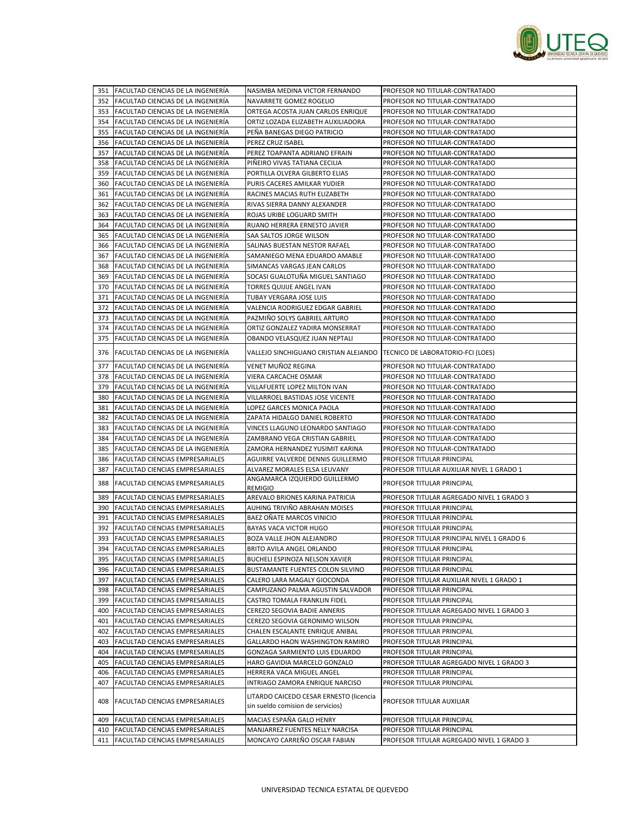

| 352 FACULTAD CIENCIAS DE LA INGENIERÍA<br>NAVARRETE GOMEZ ROGELIO<br>PROFESOR NO TITULAR-CONTRATADO<br>353 FACULTAD CIENCIAS DE LA INGENIERÍA<br>ORTEGA ACOSTA JUAN CARLOS ENRIQUE<br>PROFESOR NO TITULAR-CONTRATADO<br>354 FACULTAD CIENCIAS DE LA INGENIERÍA<br>PROFESOR NO TITULAR-CONTRATADO<br>ORTIZ LOZADA ELIZABETH AUXILIADORA<br>355 FACULTAD CIENCIAS DE LA INGENIERÍA<br>PEÑA BANEGAS DIEGO PATRICIO<br>PROFESOR NO TITULAR-CONTRATADO<br>356 FACULTAD CIENCIAS DE LA INGENIERÍA<br>PROFESOR NO TITULAR-CONTRATADO<br>PEREZ CRUZ ISABEL<br>357 FACULTAD CIENCIAS DE LA INGENIERÍA<br>PEREZ TOAPANTA ADRIANO EFRAIN<br>PROFESOR NO TITULAR-CONTRATADO<br>358 FACULTAD CIENCIAS DE LA INGENIERÍA<br>PIÑEIRO VIVAS TATIANA CECILIA<br>PROFESOR NO TITULAR-CONTRATADO<br>359<br>FACULTAD CIENCIAS DE LA INGENIERÍA<br>PORTILLA OLVERA GILBERTO ELIAS<br>PROFESOR NO TITULAR-CONTRATADO<br>360 FACULTAD CIENCIAS DE LA INGENIERÍA<br>PURIS CACERES AMILKAR YUDIER<br>PROFESOR NO TITULAR-CONTRATADO<br>361 FACULTAD CIENCIAS DE LA INGENIERÍA<br>PROFESOR NO TITULAR-CONTRATADO<br>RACINES MACIAS RUTH ELIZABETH<br>FACULTAD CIENCIAS DE LA INGENIERÍA<br>362<br>RIVAS SIERRA DANNY ALEXANDER<br>PROFESOR NO TITULAR-CONTRATADO<br>363 FACULTAD CIENCIAS DE LA INGENIERÍA<br>PROFESOR NO TITULAR-CONTRATADO<br>ROJAS URIBE LOGUARD SMITH<br>364 FACULTAD CIENCIAS DE LA INGENIERÍA<br>RUANO HERRERA ERNESTO JAVIER<br>PROFESOR NO TITULAR-CONTRATADO<br>FACULTAD CIENCIAS DE LA INGENIERÍA<br>SAA SALTOS JORGE WILSON<br>PROFESOR NO TITULAR-CONTRATADO<br>365<br><b>FACULTAD CIENCIAS DE LA INGENIERÍA</b><br>SALINAS BUESTAN NESTOR RAFAEL<br>PROFESOR NO TITULAR-CONTRATADO<br>366<br>367 FACULTAD CIENCIAS DE LA INGENIERÍA<br>SAMANIEGO MENA EDUARDO AMABLE<br>PROFESOR NO TITULAR-CONTRATADO<br>FACULTAD CIENCIAS DE LA INGENIERÍA<br>SIMANCAS VARGAS JEAN CARLOS<br>368<br>PROFESOR NO TITULAR-CONTRATADO<br>369<br>FACULTAD CIENCIAS DE LA INGENIERÍA<br>SOCASI GUALOTUÑA MIGUEL SANTIAGO<br>PROFESOR NO TITULAR-CONTRATADO<br>FACULTAD CIENCIAS DE LA INGENIERÍA<br>370<br>TORRES QUIJIJE ANGEL IVAN<br>PROFESOR NO TITULAR-CONTRATADO<br>FACULTAD CIENCIAS DE LA INGENIERÍA<br><b>TUBAY VERGARA JOSE LUIS</b><br>PROFESOR NO TITULAR-CONTRATADO<br>371<br>372<br><b>FACULTAD CIENCIAS DE LA INGENIERÍA</b><br>VALENCIA RODRIGUEZ EDGAR GABRIEL<br>PROFESOR NO TITULAR-CONTRATADO<br>FACULTAD CIENCIAS DE LA INGENIERÍA<br>PAZMIÑO SOLYS GABRIEL ARTURO<br>PROFESOR NO TITULAR-CONTRATADO<br>373<br>374 FACULTAD CIENCIAS DE LA INGENIERÍA<br>ORTIZ GONZALEZ YADIRA MONSERRAT<br>PROFESOR NO TITULAR-CONTRATADO<br>375<br>FACULTAD CIENCIAS DE LA INGENIERÍA<br>OBANDO VELASQUEZ JUAN NEPTALI<br>PROFESOR NO TITULAR-CONTRATADO<br>376 FACULTAD CIENCIAS DE LA INGENIERÍA<br>VALLEJO SINCHIGUANO CRISTIAN ALEJANDO<br>TECNICO DE LABORATORIO-FCI (LOES)<br>VENET MUÑOZ REGINA<br>377<br>FACULTAD CIENCIAS DE LA INGENIERÍA<br>PROFESOR NO TITULAR-CONTRATADO<br>378 FACULTAD CIENCIAS DE LA INGENIERÍA<br>VIERA CARCACHE OSMAR<br>PROFESOR NO TITULAR-CONTRATADO<br>379<br><b>FACULTAD CIENCIAS DE LA INGENIERIA</b><br>VILLAFUERTE LOPEZ MILTON IVAN<br>PROFESOR NO TITULAR-CONTRATADO<br>380<br>FACULTAD CIENCIAS DE LA INGENIERÍA<br>VILLARROEL BASTIDAS JOSE VICENTE<br>PROFESOR NO TITULAR-CONTRATADO<br>381 FACULTAD CIENCIAS DE LA INGENIERÍA<br>LOPEZ GARCES MONICA PAOLA<br>PROFESOR NO TITULAR-CONTRATADO<br>382 FACULTAD CIENCIAS DE LA INGENIERÍA<br>ZAPATA HIDALGO DANIEL ROBERTO<br>PROFESOR NO TITULAR-CONTRATADO<br>FACULTAD CIENCIAS DE LA INGENIERÍA<br>VINCES LLAGUNO LEONARDO SANTIAGO<br>PROFESOR NO TITULAR-CONTRATADO<br>383<br>384 FACULTAD CIENCIAS DE LA INGENIERÍA<br>ZAMBRANO VEGA CRISTIAN GABRIEL<br>PROFESOR NO TITULAR-CONTRATADO<br>FACULTAD CIENCIAS DE LA INGENIERÍA<br>PROFESOR NO TITULAR-CONTRATADO<br>385<br>ZAMORA HERNANDEZ YUSIMIT KARINA<br><b>FACULTAD CIENCIAS EMPRESARIALES</b><br>AGUIRRE VALVERDE DENNIS GUILLERMO<br>386<br>PROFESOR TITULAR PRINCIPAL<br>387<br>FACULTAD CIENCIAS EMPRESARIALES<br>ALVAREZ MORALES ELSA LEUVANY<br>PROFESOR TITULAR AUXILIAR NIVEL 1 GRADO 1<br>ANGAMARCA IZQUIERDO GUILLERMO<br>388<br><b>FACULTAD CIENCIAS EMPRESARIALES</b><br>PROFESOR TITULAR PRINCIPAL<br><b>REMIGIO</b><br>389<br>FACULTAD CIENCIAS EMPRESARIALES<br>AREVALO BRIONES KARINA PATRICIA<br>PROFESOR TITULAR AGREGADO NIVEL 1 GRADO 3<br>AUHING TRIVIÑO ABRAHAN MOISES<br>390 FACULTAD CIENCIAS EMPRESARIALES<br>PROFESOR TITULAR PRINCIPAL<br>BAEZ OÑATE MARCOS VINICIO<br>391<br><b>FACULTAD CIENCIAS EMPRESARIALES</b><br>PROFESOR TITULAR PRINCIPAL<br>392<br><b>FACULTAD CIENCIAS EMPRESARIALES</b><br><b>BAYAS VACA VICTOR HUGO</b><br>PROFESOR TITULAR PRINCIPAL<br>FACULTAD CIENCIAS EMPRESARIALES<br>393<br>BOZA VALLE JHON ALEJANDRO<br>PROFESOR TITULAR PRINCIPAL NIVEL 1 GRADO 6<br>394 FACULTAD CIENCIAS EMPRESARIALES<br>BRITO AVILA ANGEL ORLANDO<br>PROFESOR TITULAR PRINCIPAL<br>395 FACULTAD CIENCIAS EMPRESARIALES<br>BUCHELI ESPINOZA NELSON XAVIER<br>PROFESOR TITULAR PRINCIPAL<br>396 FACULTAD CIENCIAS EMPRESARIALES<br>BUSTAMANTE FUENTES COLON SILVINO<br>PROFESOR TITULAR PRINCIPAL<br>397 FACULTAD CIENCIAS EMPRESARIALES<br>CALERO LARA MAGALY GIOCONDA<br>PROFESOR TITULAR AUXILIAR NIVEL 1 GRADO 1<br>FACULTAD CIENCIAS EMPRESARIALES<br>CAMPUZANO PALMA AGUSTIN SALVADOR<br>PROFESOR TITULAR PRINCIPAL<br>398<br>399 FACULTAD CIENCIAS EMPRESARIALES<br>CASTRO TOMALA FRANKLIN FIDEL<br>PROFESOR TITULAR PRINCIPAL<br>400 FACULTAD CIENCIAS EMPRESARIALES<br>CEREZO SEGOVIA BADIE ANNERIS<br>PROFESOR TITULAR AGREGADO NIVEL 1 GRADO 3<br><b>FACULTAD CIENCIAS EMPRESARIALES</b><br>CEREZO SEGOVIA GERONIMO WILSON<br>PROFESOR TITULAR PRINCIPAL<br>401<br>402 FACULTAD CIENCIAS EMPRESARIALES<br>CHALEN ESCALANTE ENRIQUE ANIBAL<br>PROFESOR TITULAR PRINCIPAL<br>403 FACULTAD CIENCIAS EMPRESARIALES<br>GALLARDO HAON WASHINGTON RAMIRO<br>PROFESOR TITULAR PRINCIPAL<br>404<br>FACULTAD CIENCIAS EMPRESARIALES<br>GONZAGA SARMIENTO LUIS EDUARDO<br>PROFESOR TITULAR PRINCIPAL<br>405 FACULTAD CIENCIAS EMPRESARIALES<br>HARO GAVIDIA MARCELO GONZALO<br>PROFESOR TITULAR AGREGADO NIVEL 1 GRADO 3<br>406 FACULTAD CIENCIAS EMPRESARIALES<br>HERRERA VACA MIGUEL ANGEL<br>PROFESOR TITULAR PRINCIPAL<br>FACULTAD CIENCIAS EMPRESARIALES<br>INTRIAGO ZAMORA ENRIQUE NARCISO<br>PROFESOR TITULAR PRINCIPAL<br>407<br>LITARDO CAICEDO CESAR ERNESTO (licencia<br>408<br>FACULTAD CIENCIAS EMPRESARIALES<br>PROFESOR TITULAR AUXILIAR<br>sin sueldo comision de servicios)<br>MACIAS ESPAÑA GALO HENRY<br>409<br>FACULTAD CIENCIAS EMPRESARIALES<br>PROFESOR TITULAR PRINCIPAL<br>MANJARREZ FUENTES NELLY NARCISA<br>410 FACULTAD CIENCIAS EMPRESARIALES<br>PROFESOR TITULAR PRINCIPAL<br>411 FACULTAD CIENCIAS EMPRESARIALES<br>MONCAYO CARREÑO OSCAR FABIAN<br>PROFESOR TITULAR AGREGADO NIVEL 1 GRADO 3 | 351 FACULTAD CIENCIAS DE LA INGENIERÍA | NASIMBA MEDINA VICTOR FERNANDO | PROFESOR NO TITULAR-CONTRATADO |
|---------------------------------------------------------------------------------------------------------------------------------------------------------------------------------------------------------------------------------------------------------------------------------------------------------------------------------------------------------------------------------------------------------------------------------------------------------------------------------------------------------------------------------------------------------------------------------------------------------------------------------------------------------------------------------------------------------------------------------------------------------------------------------------------------------------------------------------------------------------------------------------------------------------------------------------------------------------------------------------------------------------------------------------------------------------------------------------------------------------------------------------------------------------------------------------------------------------------------------------------------------------------------------------------------------------------------------------------------------------------------------------------------------------------------------------------------------------------------------------------------------------------------------------------------------------------------------------------------------------------------------------------------------------------------------------------------------------------------------------------------------------------------------------------------------------------------------------------------------------------------------------------------------------------------------------------------------------------------------------------------------------------------------------------------------------------------------------------------------------------------------------------------------------------------------------------------------------------------------------------------------------------------------------------------------------------------------------------------------------------------------------------------------------------------------------------------------------------------------------------------------------------------------------------------------------------------------------------------------------------------------------------------------------------------------------------------------------------------------------------------------------------------------------------------------------------------------------------------------------------------------------------------------------------------------------------------------------------------------------------------------------------------------------------------------------------------------------------------------------------------------------------------------------------------------------------------------------------------------------------------------------------------------------------------------------------------------------------------------------------------------------------------------------------------------------------------------------------------------------------------------------------------------------------------------------------------------------------------------------------------------------------------------------------------------------------------------------------------------------------------------------------------------------------------------------------------------------------------------------------------------------------------------------------------------------------------------------------------------------------------------------------------------------------------------------------------------------------------------------------------------------------------------------------------------------------------------------------------------------------------------------------------------------------------------------------------------------------------------------------------------------------------------------------------------------------------------------------------------------------------------------------------------------------------------------------------------------------------------------------------------------------------------------------------------------------------------------------------------------------------------------------------------------------------------------------------------------------------------------------------------------------------------------------------------------------------------------------------------------------------------------------------------------------------------------------------------------------------------------------------------------------------------------------------------------------------------------------------------------------------------------------------------------------------------------------------------------------------------------------------------------------------------------------------------------------------------------------------------------------------------------------------------------------------------------------------------------------------------------------------------------------------------------------------------------------------------------------------------------------------------------------------------------------------------------------------------------------------------------------------------------------------------------------------------------------------------------------------------------------------------------------------------------------------------------------------------------------------------------------------------------------------------------------------------------------------------------------------------------------------------------------------------------------------------------------------------------------------------------------------------------------------------------------------------------------------------------------------------------------------------------------------------------------------------------------------------------------------------------------------------------------------------------------------------------------------------------------------------------------------------------------------------------------------------------------------------------------------------------------------------------------------------------|----------------------------------------|--------------------------------|--------------------------------|
|                                                                                                                                                                                                                                                                                                                                                                                                                                                                                                                                                                                                                                                                                                                                                                                                                                                                                                                                                                                                                                                                                                                                                                                                                                                                                                                                                                                                                                                                                                                                                                                                                                                                                                                                                                                                                                                                                                                                                                                                                                                                                                                                                                                                                                                                                                                                                                                                                                                                                                                                                                                                                                                                                                                                                                                                                                                                                                                                                                                                                                                                                                                                                                                                                                                                                                                                                                                                                                                                                                                                                                                                                                                                                                                                                                                                                                                                                                                                                                                                                                                                                                                                                                                                                                                                                                                                                                                                                                                                                                                                                                                                                                                                                                                                                                                                                                                                                                                                                                                                                                                                                                                                                                                                                                                                                                                                                                                                                                                                                                                                                                                                                                                                                                                                                                                                                                                                                                                                                                                                                                                                                                                                                                                                                                                                                                                                                                                                                                                                                                                                                                                                                                                                                                                                                                                                                                                                                                               |                                        |                                |                                |
|                                                                                                                                                                                                                                                                                                                                                                                                                                                                                                                                                                                                                                                                                                                                                                                                                                                                                                                                                                                                                                                                                                                                                                                                                                                                                                                                                                                                                                                                                                                                                                                                                                                                                                                                                                                                                                                                                                                                                                                                                                                                                                                                                                                                                                                                                                                                                                                                                                                                                                                                                                                                                                                                                                                                                                                                                                                                                                                                                                                                                                                                                                                                                                                                                                                                                                                                                                                                                                                                                                                                                                                                                                                                                                                                                                                                                                                                                                                                                                                                                                                                                                                                                                                                                                                                                                                                                                                                                                                                                                                                                                                                                                                                                                                                                                                                                                                                                                                                                                                                                                                                                                                                                                                                                                                                                                                                                                                                                                                                                                                                                                                                                                                                                                                                                                                                                                                                                                                                                                                                                                                                                                                                                                                                                                                                                                                                                                                                                                                                                                                                                                                                                                                                                                                                                                                                                                                                                                               |                                        |                                |                                |
|                                                                                                                                                                                                                                                                                                                                                                                                                                                                                                                                                                                                                                                                                                                                                                                                                                                                                                                                                                                                                                                                                                                                                                                                                                                                                                                                                                                                                                                                                                                                                                                                                                                                                                                                                                                                                                                                                                                                                                                                                                                                                                                                                                                                                                                                                                                                                                                                                                                                                                                                                                                                                                                                                                                                                                                                                                                                                                                                                                                                                                                                                                                                                                                                                                                                                                                                                                                                                                                                                                                                                                                                                                                                                                                                                                                                                                                                                                                                                                                                                                                                                                                                                                                                                                                                                                                                                                                                                                                                                                                                                                                                                                                                                                                                                                                                                                                                                                                                                                                                                                                                                                                                                                                                                                                                                                                                                                                                                                                                                                                                                                                                                                                                                                                                                                                                                                                                                                                                                                                                                                                                                                                                                                                                                                                                                                                                                                                                                                                                                                                                                                                                                                                                                                                                                                                                                                                                                                               |                                        |                                |                                |
|                                                                                                                                                                                                                                                                                                                                                                                                                                                                                                                                                                                                                                                                                                                                                                                                                                                                                                                                                                                                                                                                                                                                                                                                                                                                                                                                                                                                                                                                                                                                                                                                                                                                                                                                                                                                                                                                                                                                                                                                                                                                                                                                                                                                                                                                                                                                                                                                                                                                                                                                                                                                                                                                                                                                                                                                                                                                                                                                                                                                                                                                                                                                                                                                                                                                                                                                                                                                                                                                                                                                                                                                                                                                                                                                                                                                                                                                                                                                                                                                                                                                                                                                                                                                                                                                                                                                                                                                                                                                                                                                                                                                                                                                                                                                                                                                                                                                                                                                                                                                                                                                                                                                                                                                                                                                                                                                                                                                                                                                                                                                                                                                                                                                                                                                                                                                                                                                                                                                                                                                                                                                                                                                                                                                                                                                                                                                                                                                                                                                                                                                                                                                                                                                                                                                                                                                                                                                                                               |                                        |                                |                                |
|                                                                                                                                                                                                                                                                                                                                                                                                                                                                                                                                                                                                                                                                                                                                                                                                                                                                                                                                                                                                                                                                                                                                                                                                                                                                                                                                                                                                                                                                                                                                                                                                                                                                                                                                                                                                                                                                                                                                                                                                                                                                                                                                                                                                                                                                                                                                                                                                                                                                                                                                                                                                                                                                                                                                                                                                                                                                                                                                                                                                                                                                                                                                                                                                                                                                                                                                                                                                                                                                                                                                                                                                                                                                                                                                                                                                                                                                                                                                                                                                                                                                                                                                                                                                                                                                                                                                                                                                                                                                                                                                                                                                                                                                                                                                                                                                                                                                                                                                                                                                                                                                                                                                                                                                                                                                                                                                                                                                                                                                                                                                                                                                                                                                                                                                                                                                                                                                                                                                                                                                                                                                                                                                                                                                                                                                                                                                                                                                                                                                                                                                                                                                                                                                                                                                                                                                                                                                                                               |                                        |                                |                                |
|                                                                                                                                                                                                                                                                                                                                                                                                                                                                                                                                                                                                                                                                                                                                                                                                                                                                                                                                                                                                                                                                                                                                                                                                                                                                                                                                                                                                                                                                                                                                                                                                                                                                                                                                                                                                                                                                                                                                                                                                                                                                                                                                                                                                                                                                                                                                                                                                                                                                                                                                                                                                                                                                                                                                                                                                                                                                                                                                                                                                                                                                                                                                                                                                                                                                                                                                                                                                                                                                                                                                                                                                                                                                                                                                                                                                                                                                                                                                                                                                                                                                                                                                                                                                                                                                                                                                                                                                                                                                                                                                                                                                                                                                                                                                                                                                                                                                                                                                                                                                                                                                                                                                                                                                                                                                                                                                                                                                                                                                                                                                                                                                                                                                                                                                                                                                                                                                                                                                                                                                                                                                                                                                                                                                                                                                                                                                                                                                                                                                                                                                                                                                                                                                                                                                                                                                                                                                                                               |                                        |                                |                                |
|                                                                                                                                                                                                                                                                                                                                                                                                                                                                                                                                                                                                                                                                                                                                                                                                                                                                                                                                                                                                                                                                                                                                                                                                                                                                                                                                                                                                                                                                                                                                                                                                                                                                                                                                                                                                                                                                                                                                                                                                                                                                                                                                                                                                                                                                                                                                                                                                                                                                                                                                                                                                                                                                                                                                                                                                                                                                                                                                                                                                                                                                                                                                                                                                                                                                                                                                                                                                                                                                                                                                                                                                                                                                                                                                                                                                                                                                                                                                                                                                                                                                                                                                                                                                                                                                                                                                                                                                                                                                                                                                                                                                                                                                                                                                                                                                                                                                                                                                                                                                                                                                                                                                                                                                                                                                                                                                                                                                                                                                                                                                                                                                                                                                                                                                                                                                                                                                                                                                                                                                                                                                                                                                                                                                                                                                                                                                                                                                                                                                                                                                                                                                                                                                                                                                                                                                                                                                                                               |                                        |                                |                                |
|                                                                                                                                                                                                                                                                                                                                                                                                                                                                                                                                                                                                                                                                                                                                                                                                                                                                                                                                                                                                                                                                                                                                                                                                                                                                                                                                                                                                                                                                                                                                                                                                                                                                                                                                                                                                                                                                                                                                                                                                                                                                                                                                                                                                                                                                                                                                                                                                                                                                                                                                                                                                                                                                                                                                                                                                                                                                                                                                                                                                                                                                                                                                                                                                                                                                                                                                                                                                                                                                                                                                                                                                                                                                                                                                                                                                                                                                                                                                                                                                                                                                                                                                                                                                                                                                                                                                                                                                                                                                                                                                                                                                                                                                                                                                                                                                                                                                                                                                                                                                                                                                                                                                                                                                                                                                                                                                                                                                                                                                                                                                                                                                                                                                                                                                                                                                                                                                                                                                                                                                                                                                                                                                                                                                                                                                                                                                                                                                                                                                                                                                                                                                                                                                                                                                                                                                                                                                                                               |                                        |                                |                                |
|                                                                                                                                                                                                                                                                                                                                                                                                                                                                                                                                                                                                                                                                                                                                                                                                                                                                                                                                                                                                                                                                                                                                                                                                                                                                                                                                                                                                                                                                                                                                                                                                                                                                                                                                                                                                                                                                                                                                                                                                                                                                                                                                                                                                                                                                                                                                                                                                                                                                                                                                                                                                                                                                                                                                                                                                                                                                                                                                                                                                                                                                                                                                                                                                                                                                                                                                                                                                                                                                                                                                                                                                                                                                                                                                                                                                                                                                                                                                                                                                                                                                                                                                                                                                                                                                                                                                                                                                                                                                                                                                                                                                                                                                                                                                                                                                                                                                                                                                                                                                                                                                                                                                                                                                                                                                                                                                                                                                                                                                                                                                                                                                                                                                                                                                                                                                                                                                                                                                                                                                                                                                                                                                                                                                                                                                                                                                                                                                                                                                                                                                                                                                                                                                                                                                                                                                                                                                                                               |                                        |                                |                                |
|                                                                                                                                                                                                                                                                                                                                                                                                                                                                                                                                                                                                                                                                                                                                                                                                                                                                                                                                                                                                                                                                                                                                                                                                                                                                                                                                                                                                                                                                                                                                                                                                                                                                                                                                                                                                                                                                                                                                                                                                                                                                                                                                                                                                                                                                                                                                                                                                                                                                                                                                                                                                                                                                                                                                                                                                                                                                                                                                                                                                                                                                                                                                                                                                                                                                                                                                                                                                                                                                                                                                                                                                                                                                                                                                                                                                                                                                                                                                                                                                                                                                                                                                                                                                                                                                                                                                                                                                                                                                                                                                                                                                                                                                                                                                                                                                                                                                                                                                                                                                                                                                                                                                                                                                                                                                                                                                                                                                                                                                                                                                                                                                                                                                                                                                                                                                                                                                                                                                                                                                                                                                                                                                                                                                                                                                                                                                                                                                                                                                                                                                                                                                                                                                                                                                                                                                                                                                                                               |                                        |                                |                                |
|                                                                                                                                                                                                                                                                                                                                                                                                                                                                                                                                                                                                                                                                                                                                                                                                                                                                                                                                                                                                                                                                                                                                                                                                                                                                                                                                                                                                                                                                                                                                                                                                                                                                                                                                                                                                                                                                                                                                                                                                                                                                                                                                                                                                                                                                                                                                                                                                                                                                                                                                                                                                                                                                                                                                                                                                                                                                                                                                                                                                                                                                                                                                                                                                                                                                                                                                                                                                                                                                                                                                                                                                                                                                                                                                                                                                                                                                                                                                                                                                                                                                                                                                                                                                                                                                                                                                                                                                                                                                                                                                                                                                                                                                                                                                                                                                                                                                                                                                                                                                                                                                                                                                                                                                                                                                                                                                                                                                                                                                                                                                                                                                                                                                                                                                                                                                                                                                                                                                                                                                                                                                                                                                                                                                                                                                                                                                                                                                                                                                                                                                                                                                                                                                                                                                                                                                                                                                                                               |                                        |                                |                                |
|                                                                                                                                                                                                                                                                                                                                                                                                                                                                                                                                                                                                                                                                                                                                                                                                                                                                                                                                                                                                                                                                                                                                                                                                                                                                                                                                                                                                                                                                                                                                                                                                                                                                                                                                                                                                                                                                                                                                                                                                                                                                                                                                                                                                                                                                                                                                                                                                                                                                                                                                                                                                                                                                                                                                                                                                                                                                                                                                                                                                                                                                                                                                                                                                                                                                                                                                                                                                                                                                                                                                                                                                                                                                                                                                                                                                                                                                                                                                                                                                                                                                                                                                                                                                                                                                                                                                                                                                                                                                                                                                                                                                                                                                                                                                                                                                                                                                                                                                                                                                                                                                                                                                                                                                                                                                                                                                                                                                                                                                                                                                                                                                                                                                                                                                                                                                                                                                                                                                                                                                                                                                                                                                                                                                                                                                                                                                                                                                                                                                                                                                                                                                                                                                                                                                                                                                                                                                                                               |                                        |                                |                                |
|                                                                                                                                                                                                                                                                                                                                                                                                                                                                                                                                                                                                                                                                                                                                                                                                                                                                                                                                                                                                                                                                                                                                                                                                                                                                                                                                                                                                                                                                                                                                                                                                                                                                                                                                                                                                                                                                                                                                                                                                                                                                                                                                                                                                                                                                                                                                                                                                                                                                                                                                                                                                                                                                                                                                                                                                                                                                                                                                                                                                                                                                                                                                                                                                                                                                                                                                                                                                                                                                                                                                                                                                                                                                                                                                                                                                                                                                                                                                                                                                                                                                                                                                                                                                                                                                                                                                                                                                                                                                                                                                                                                                                                                                                                                                                                                                                                                                                                                                                                                                                                                                                                                                                                                                                                                                                                                                                                                                                                                                                                                                                                                                                                                                                                                                                                                                                                                                                                                                                                                                                                                                                                                                                                                                                                                                                                                                                                                                                                                                                                                                                                                                                                                                                                                                                                                                                                                                                                               |                                        |                                |                                |
|                                                                                                                                                                                                                                                                                                                                                                                                                                                                                                                                                                                                                                                                                                                                                                                                                                                                                                                                                                                                                                                                                                                                                                                                                                                                                                                                                                                                                                                                                                                                                                                                                                                                                                                                                                                                                                                                                                                                                                                                                                                                                                                                                                                                                                                                                                                                                                                                                                                                                                                                                                                                                                                                                                                                                                                                                                                                                                                                                                                                                                                                                                                                                                                                                                                                                                                                                                                                                                                                                                                                                                                                                                                                                                                                                                                                                                                                                                                                                                                                                                                                                                                                                                                                                                                                                                                                                                                                                                                                                                                                                                                                                                                                                                                                                                                                                                                                                                                                                                                                                                                                                                                                                                                                                                                                                                                                                                                                                                                                                                                                                                                                                                                                                                                                                                                                                                                                                                                                                                                                                                                                                                                                                                                                                                                                                                                                                                                                                                                                                                                                                                                                                                                                                                                                                                                                                                                                                                               |                                        |                                |                                |
|                                                                                                                                                                                                                                                                                                                                                                                                                                                                                                                                                                                                                                                                                                                                                                                                                                                                                                                                                                                                                                                                                                                                                                                                                                                                                                                                                                                                                                                                                                                                                                                                                                                                                                                                                                                                                                                                                                                                                                                                                                                                                                                                                                                                                                                                                                                                                                                                                                                                                                                                                                                                                                                                                                                                                                                                                                                                                                                                                                                                                                                                                                                                                                                                                                                                                                                                                                                                                                                                                                                                                                                                                                                                                                                                                                                                                                                                                                                                                                                                                                                                                                                                                                                                                                                                                                                                                                                                                                                                                                                                                                                                                                                                                                                                                                                                                                                                                                                                                                                                                                                                                                                                                                                                                                                                                                                                                                                                                                                                                                                                                                                                                                                                                                                                                                                                                                                                                                                                                                                                                                                                                                                                                                                                                                                                                                                                                                                                                                                                                                                                                                                                                                                                                                                                                                                                                                                                                                               |                                        |                                |                                |
|                                                                                                                                                                                                                                                                                                                                                                                                                                                                                                                                                                                                                                                                                                                                                                                                                                                                                                                                                                                                                                                                                                                                                                                                                                                                                                                                                                                                                                                                                                                                                                                                                                                                                                                                                                                                                                                                                                                                                                                                                                                                                                                                                                                                                                                                                                                                                                                                                                                                                                                                                                                                                                                                                                                                                                                                                                                                                                                                                                                                                                                                                                                                                                                                                                                                                                                                                                                                                                                                                                                                                                                                                                                                                                                                                                                                                                                                                                                                                                                                                                                                                                                                                                                                                                                                                                                                                                                                                                                                                                                                                                                                                                                                                                                                                                                                                                                                                                                                                                                                                                                                                                                                                                                                                                                                                                                                                                                                                                                                                                                                                                                                                                                                                                                                                                                                                                                                                                                                                                                                                                                                                                                                                                                                                                                                                                                                                                                                                                                                                                                                                                                                                                                                                                                                                                                                                                                                                                               |                                        |                                |                                |
|                                                                                                                                                                                                                                                                                                                                                                                                                                                                                                                                                                                                                                                                                                                                                                                                                                                                                                                                                                                                                                                                                                                                                                                                                                                                                                                                                                                                                                                                                                                                                                                                                                                                                                                                                                                                                                                                                                                                                                                                                                                                                                                                                                                                                                                                                                                                                                                                                                                                                                                                                                                                                                                                                                                                                                                                                                                                                                                                                                                                                                                                                                                                                                                                                                                                                                                                                                                                                                                                                                                                                                                                                                                                                                                                                                                                                                                                                                                                                                                                                                                                                                                                                                                                                                                                                                                                                                                                                                                                                                                                                                                                                                                                                                                                                                                                                                                                                                                                                                                                                                                                                                                                                                                                                                                                                                                                                                                                                                                                                                                                                                                                                                                                                                                                                                                                                                                                                                                                                                                                                                                                                                                                                                                                                                                                                                                                                                                                                                                                                                                                                                                                                                                                                                                                                                                                                                                                                                               |                                        |                                |                                |
|                                                                                                                                                                                                                                                                                                                                                                                                                                                                                                                                                                                                                                                                                                                                                                                                                                                                                                                                                                                                                                                                                                                                                                                                                                                                                                                                                                                                                                                                                                                                                                                                                                                                                                                                                                                                                                                                                                                                                                                                                                                                                                                                                                                                                                                                                                                                                                                                                                                                                                                                                                                                                                                                                                                                                                                                                                                                                                                                                                                                                                                                                                                                                                                                                                                                                                                                                                                                                                                                                                                                                                                                                                                                                                                                                                                                                                                                                                                                                                                                                                                                                                                                                                                                                                                                                                                                                                                                                                                                                                                                                                                                                                                                                                                                                                                                                                                                                                                                                                                                                                                                                                                                                                                                                                                                                                                                                                                                                                                                                                                                                                                                                                                                                                                                                                                                                                                                                                                                                                                                                                                                                                                                                                                                                                                                                                                                                                                                                                                                                                                                                                                                                                                                                                                                                                                                                                                                                                               |                                        |                                |                                |
|                                                                                                                                                                                                                                                                                                                                                                                                                                                                                                                                                                                                                                                                                                                                                                                                                                                                                                                                                                                                                                                                                                                                                                                                                                                                                                                                                                                                                                                                                                                                                                                                                                                                                                                                                                                                                                                                                                                                                                                                                                                                                                                                                                                                                                                                                                                                                                                                                                                                                                                                                                                                                                                                                                                                                                                                                                                                                                                                                                                                                                                                                                                                                                                                                                                                                                                                                                                                                                                                                                                                                                                                                                                                                                                                                                                                                                                                                                                                                                                                                                                                                                                                                                                                                                                                                                                                                                                                                                                                                                                                                                                                                                                                                                                                                                                                                                                                                                                                                                                                                                                                                                                                                                                                                                                                                                                                                                                                                                                                                                                                                                                                                                                                                                                                                                                                                                                                                                                                                                                                                                                                                                                                                                                                                                                                                                                                                                                                                                                                                                                                                                                                                                                                                                                                                                                                                                                                                                               |                                        |                                |                                |
|                                                                                                                                                                                                                                                                                                                                                                                                                                                                                                                                                                                                                                                                                                                                                                                                                                                                                                                                                                                                                                                                                                                                                                                                                                                                                                                                                                                                                                                                                                                                                                                                                                                                                                                                                                                                                                                                                                                                                                                                                                                                                                                                                                                                                                                                                                                                                                                                                                                                                                                                                                                                                                                                                                                                                                                                                                                                                                                                                                                                                                                                                                                                                                                                                                                                                                                                                                                                                                                                                                                                                                                                                                                                                                                                                                                                                                                                                                                                                                                                                                                                                                                                                                                                                                                                                                                                                                                                                                                                                                                                                                                                                                                                                                                                                                                                                                                                                                                                                                                                                                                                                                                                                                                                                                                                                                                                                                                                                                                                                                                                                                                                                                                                                                                                                                                                                                                                                                                                                                                                                                                                                                                                                                                                                                                                                                                                                                                                                                                                                                                                                                                                                                                                                                                                                                                                                                                                                                               |                                        |                                |                                |
|                                                                                                                                                                                                                                                                                                                                                                                                                                                                                                                                                                                                                                                                                                                                                                                                                                                                                                                                                                                                                                                                                                                                                                                                                                                                                                                                                                                                                                                                                                                                                                                                                                                                                                                                                                                                                                                                                                                                                                                                                                                                                                                                                                                                                                                                                                                                                                                                                                                                                                                                                                                                                                                                                                                                                                                                                                                                                                                                                                                                                                                                                                                                                                                                                                                                                                                                                                                                                                                                                                                                                                                                                                                                                                                                                                                                                                                                                                                                                                                                                                                                                                                                                                                                                                                                                                                                                                                                                                                                                                                                                                                                                                                                                                                                                                                                                                                                                                                                                                                                                                                                                                                                                                                                                                                                                                                                                                                                                                                                                                                                                                                                                                                                                                                                                                                                                                                                                                                                                                                                                                                                                                                                                                                                                                                                                                                                                                                                                                                                                                                                                                                                                                                                                                                                                                                                                                                                                                               |                                        |                                |                                |
|                                                                                                                                                                                                                                                                                                                                                                                                                                                                                                                                                                                                                                                                                                                                                                                                                                                                                                                                                                                                                                                                                                                                                                                                                                                                                                                                                                                                                                                                                                                                                                                                                                                                                                                                                                                                                                                                                                                                                                                                                                                                                                                                                                                                                                                                                                                                                                                                                                                                                                                                                                                                                                                                                                                                                                                                                                                                                                                                                                                                                                                                                                                                                                                                                                                                                                                                                                                                                                                                                                                                                                                                                                                                                                                                                                                                                                                                                                                                                                                                                                                                                                                                                                                                                                                                                                                                                                                                                                                                                                                                                                                                                                                                                                                                                                                                                                                                                                                                                                                                                                                                                                                                                                                                                                                                                                                                                                                                                                                                                                                                                                                                                                                                                                                                                                                                                                                                                                                                                                                                                                                                                                                                                                                                                                                                                                                                                                                                                                                                                                                                                                                                                                                                                                                                                                                                                                                                                                               |                                        |                                |                                |
|                                                                                                                                                                                                                                                                                                                                                                                                                                                                                                                                                                                                                                                                                                                                                                                                                                                                                                                                                                                                                                                                                                                                                                                                                                                                                                                                                                                                                                                                                                                                                                                                                                                                                                                                                                                                                                                                                                                                                                                                                                                                                                                                                                                                                                                                                                                                                                                                                                                                                                                                                                                                                                                                                                                                                                                                                                                                                                                                                                                                                                                                                                                                                                                                                                                                                                                                                                                                                                                                                                                                                                                                                                                                                                                                                                                                                                                                                                                                                                                                                                                                                                                                                                                                                                                                                                                                                                                                                                                                                                                                                                                                                                                                                                                                                                                                                                                                                                                                                                                                                                                                                                                                                                                                                                                                                                                                                                                                                                                                                                                                                                                                                                                                                                                                                                                                                                                                                                                                                                                                                                                                                                                                                                                                                                                                                                                                                                                                                                                                                                                                                                                                                                                                                                                                                                                                                                                                                                               |                                        |                                |                                |
|                                                                                                                                                                                                                                                                                                                                                                                                                                                                                                                                                                                                                                                                                                                                                                                                                                                                                                                                                                                                                                                                                                                                                                                                                                                                                                                                                                                                                                                                                                                                                                                                                                                                                                                                                                                                                                                                                                                                                                                                                                                                                                                                                                                                                                                                                                                                                                                                                                                                                                                                                                                                                                                                                                                                                                                                                                                                                                                                                                                                                                                                                                                                                                                                                                                                                                                                                                                                                                                                                                                                                                                                                                                                                                                                                                                                                                                                                                                                                                                                                                                                                                                                                                                                                                                                                                                                                                                                                                                                                                                                                                                                                                                                                                                                                                                                                                                                                                                                                                                                                                                                                                                                                                                                                                                                                                                                                                                                                                                                                                                                                                                                                                                                                                                                                                                                                                                                                                                                                                                                                                                                                                                                                                                                                                                                                                                                                                                                                                                                                                                                                                                                                                                                                                                                                                                                                                                                                                               |                                        |                                |                                |
|                                                                                                                                                                                                                                                                                                                                                                                                                                                                                                                                                                                                                                                                                                                                                                                                                                                                                                                                                                                                                                                                                                                                                                                                                                                                                                                                                                                                                                                                                                                                                                                                                                                                                                                                                                                                                                                                                                                                                                                                                                                                                                                                                                                                                                                                                                                                                                                                                                                                                                                                                                                                                                                                                                                                                                                                                                                                                                                                                                                                                                                                                                                                                                                                                                                                                                                                                                                                                                                                                                                                                                                                                                                                                                                                                                                                                                                                                                                                                                                                                                                                                                                                                                                                                                                                                                                                                                                                                                                                                                                                                                                                                                                                                                                                                                                                                                                                                                                                                                                                                                                                                                                                                                                                                                                                                                                                                                                                                                                                                                                                                                                                                                                                                                                                                                                                                                                                                                                                                                                                                                                                                                                                                                                                                                                                                                                                                                                                                                                                                                                                                                                                                                                                                                                                                                                                                                                                                                               |                                        |                                |                                |
|                                                                                                                                                                                                                                                                                                                                                                                                                                                                                                                                                                                                                                                                                                                                                                                                                                                                                                                                                                                                                                                                                                                                                                                                                                                                                                                                                                                                                                                                                                                                                                                                                                                                                                                                                                                                                                                                                                                                                                                                                                                                                                                                                                                                                                                                                                                                                                                                                                                                                                                                                                                                                                                                                                                                                                                                                                                                                                                                                                                                                                                                                                                                                                                                                                                                                                                                                                                                                                                                                                                                                                                                                                                                                                                                                                                                                                                                                                                                                                                                                                                                                                                                                                                                                                                                                                                                                                                                                                                                                                                                                                                                                                                                                                                                                                                                                                                                                                                                                                                                                                                                                                                                                                                                                                                                                                                                                                                                                                                                                                                                                                                                                                                                                                                                                                                                                                                                                                                                                                                                                                                                                                                                                                                                                                                                                                                                                                                                                                                                                                                                                                                                                                                                                                                                                                                                                                                                                                               |                                        |                                |                                |
|                                                                                                                                                                                                                                                                                                                                                                                                                                                                                                                                                                                                                                                                                                                                                                                                                                                                                                                                                                                                                                                                                                                                                                                                                                                                                                                                                                                                                                                                                                                                                                                                                                                                                                                                                                                                                                                                                                                                                                                                                                                                                                                                                                                                                                                                                                                                                                                                                                                                                                                                                                                                                                                                                                                                                                                                                                                                                                                                                                                                                                                                                                                                                                                                                                                                                                                                                                                                                                                                                                                                                                                                                                                                                                                                                                                                                                                                                                                                                                                                                                                                                                                                                                                                                                                                                                                                                                                                                                                                                                                                                                                                                                                                                                                                                                                                                                                                                                                                                                                                                                                                                                                                                                                                                                                                                                                                                                                                                                                                                                                                                                                                                                                                                                                                                                                                                                                                                                                                                                                                                                                                                                                                                                                                                                                                                                                                                                                                                                                                                                                                                                                                                                                                                                                                                                                                                                                                                                               |                                        |                                |                                |
|                                                                                                                                                                                                                                                                                                                                                                                                                                                                                                                                                                                                                                                                                                                                                                                                                                                                                                                                                                                                                                                                                                                                                                                                                                                                                                                                                                                                                                                                                                                                                                                                                                                                                                                                                                                                                                                                                                                                                                                                                                                                                                                                                                                                                                                                                                                                                                                                                                                                                                                                                                                                                                                                                                                                                                                                                                                                                                                                                                                                                                                                                                                                                                                                                                                                                                                                                                                                                                                                                                                                                                                                                                                                                                                                                                                                                                                                                                                                                                                                                                                                                                                                                                                                                                                                                                                                                                                                                                                                                                                                                                                                                                                                                                                                                                                                                                                                                                                                                                                                                                                                                                                                                                                                                                                                                                                                                                                                                                                                                                                                                                                                                                                                                                                                                                                                                                                                                                                                                                                                                                                                                                                                                                                                                                                                                                                                                                                                                                                                                                                                                                                                                                                                                                                                                                                                                                                                                                               |                                        |                                |                                |
|                                                                                                                                                                                                                                                                                                                                                                                                                                                                                                                                                                                                                                                                                                                                                                                                                                                                                                                                                                                                                                                                                                                                                                                                                                                                                                                                                                                                                                                                                                                                                                                                                                                                                                                                                                                                                                                                                                                                                                                                                                                                                                                                                                                                                                                                                                                                                                                                                                                                                                                                                                                                                                                                                                                                                                                                                                                                                                                                                                                                                                                                                                                                                                                                                                                                                                                                                                                                                                                                                                                                                                                                                                                                                                                                                                                                                                                                                                                                                                                                                                                                                                                                                                                                                                                                                                                                                                                                                                                                                                                                                                                                                                                                                                                                                                                                                                                                                                                                                                                                                                                                                                                                                                                                                                                                                                                                                                                                                                                                                                                                                                                                                                                                                                                                                                                                                                                                                                                                                                                                                                                                                                                                                                                                                                                                                                                                                                                                                                                                                                                                                                                                                                                                                                                                                                                                                                                                                                               |                                        |                                |                                |
|                                                                                                                                                                                                                                                                                                                                                                                                                                                                                                                                                                                                                                                                                                                                                                                                                                                                                                                                                                                                                                                                                                                                                                                                                                                                                                                                                                                                                                                                                                                                                                                                                                                                                                                                                                                                                                                                                                                                                                                                                                                                                                                                                                                                                                                                                                                                                                                                                                                                                                                                                                                                                                                                                                                                                                                                                                                                                                                                                                                                                                                                                                                                                                                                                                                                                                                                                                                                                                                                                                                                                                                                                                                                                                                                                                                                                                                                                                                                                                                                                                                                                                                                                                                                                                                                                                                                                                                                                                                                                                                                                                                                                                                                                                                                                                                                                                                                                                                                                                                                                                                                                                                                                                                                                                                                                                                                                                                                                                                                                                                                                                                                                                                                                                                                                                                                                                                                                                                                                                                                                                                                                                                                                                                                                                                                                                                                                                                                                                                                                                                                                                                                                                                                                                                                                                                                                                                                                                               |                                        |                                |                                |
|                                                                                                                                                                                                                                                                                                                                                                                                                                                                                                                                                                                                                                                                                                                                                                                                                                                                                                                                                                                                                                                                                                                                                                                                                                                                                                                                                                                                                                                                                                                                                                                                                                                                                                                                                                                                                                                                                                                                                                                                                                                                                                                                                                                                                                                                                                                                                                                                                                                                                                                                                                                                                                                                                                                                                                                                                                                                                                                                                                                                                                                                                                                                                                                                                                                                                                                                                                                                                                                                                                                                                                                                                                                                                                                                                                                                                                                                                                                                                                                                                                                                                                                                                                                                                                                                                                                                                                                                                                                                                                                                                                                                                                                                                                                                                                                                                                                                                                                                                                                                                                                                                                                                                                                                                                                                                                                                                                                                                                                                                                                                                                                                                                                                                                                                                                                                                                                                                                                                                                                                                                                                                                                                                                                                                                                                                                                                                                                                                                                                                                                                                                                                                                                                                                                                                                                                                                                                                                               |                                        |                                |                                |
|                                                                                                                                                                                                                                                                                                                                                                                                                                                                                                                                                                                                                                                                                                                                                                                                                                                                                                                                                                                                                                                                                                                                                                                                                                                                                                                                                                                                                                                                                                                                                                                                                                                                                                                                                                                                                                                                                                                                                                                                                                                                                                                                                                                                                                                                                                                                                                                                                                                                                                                                                                                                                                                                                                                                                                                                                                                                                                                                                                                                                                                                                                                                                                                                                                                                                                                                                                                                                                                                                                                                                                                                                                                                                                                                                                                                                                                                                                                                                                                                                                                                                                                                                                                                                                                                                                                                                                                                                                                                                                                                                                                                                                                                                                                                                                                                                                                                                                                                                                                                                                                                                                                                                                                                                                                                                                                                                                                                                                                                                                                                                                                                                                                                                                                                                                                                                                                                                                                                                                                                                                                                                                                                                                                                                                                                                                                                                                                                                                                                                                                                                                                                                                                                                                                                                                                                                                                                                                               |                                        |                                |                                |
|                                                                                                                                                                                                                                                                                                                                                                                                                                                                                                                                                                                                                                                                                                                                                                                                                                                                                                                                                                                                                                                                                                                                                                                                                                                                                                                                                                                                                                                                                                                                                                                                                                                                                                                                                                                                                                                                                                                                                                                                                                                                                                                                                                                                                                                                                                                                                                                                                                                                                                                                                                                                                                                                                                                                                                                                                                                                                                                                                                                                                                                                                                                                                                                                                                                                                                                                                                                                                                                                                                                                                                                                                                                                                                                                                                                                                                                                                                                                                                                                                                                                                                                                                                                                                                                                                                                                                                                                                                                                                                                                                                                                                                                                                                                                                                                                                                                                                                                                                                                                                                                                                                                                                                                                                                                                                                                                                                                                                                                                                                                                                                                                                                                                                                                                                                                                                                                                                                                                                                                                                                                                                                                                                                                                                                                                                                                                                                                                                                                                                                                                                                                                                                                                                                                                                                                                                                                                                                               |                                        |                                |                                |
|                                                                                                                                                                                                                                                                                                                                                                                                                                                                                                                                                                                                                                                                                                                                                                                                                                                                                                                                                                                                                                                                                                                                                                                                                                                                                                                                                                                                                                                                                                                                                                                                                                                                                                                                                                                                                                                                                                                                                                                                                                                                                                                                                                                                                                                                                                                                                                                                                                                                                                                                                                                                                                                                                                                                                                                                                                                                                                                                                                                                                                                                                                                                                                                                                                                                                                                                                                                                                                                                                                                                                                                                                                                                                                                                                                                                                                                                                                                                                                                                                                                                                                                                                                                                                                                                                                                                                                                                                                                                                                                                                                                                                                                                                                                                                                                                                                                                                                                                                                                                                                                                                                                                                                                                                                                                                                                                                                                                                                                                                                                                                                                                                                                                                                                                                                                                                                                                                                                                                                                                                                                                                                                                                                                                                                                                                                                                                                                                                                                                                                                                                                                                                                                                                                                                                                                                                                                                                                               |                                        |                                |                                |
|                                                                                                                                                                                                                                                                                                                                                                                                                                                                                                                                                                                                                                                                                                                                                                                                                                                                                                                                                                                                                                                                                                                                                                                                                                                                                                                                                                                                                                                                                                                                                                                                                                                                                                                                                                                                                                                                                                                                                                                                                                                                                                                                                                                                                                                                                                                                                                                                                                                                                                                                                                                                                                                                                                                                                                                                                                                                                                                                                                                                                                                                                                                                                                                                                                                                                                                                                                                                                                                                                                                                                                                                                                                                                                                                                                                                                                                                                                                                                                                                                                                                                                                                                                                                                                                                                                                                                                                                                                                                                                                                                                                                                                                                                                                                                                                                                                                                                                                                                                                                                                                                                                                                                                                                                                                                                                                                                                                                                                                                                                                                                                                                                                                                                                                                                                                                                                                                                                                                                                                                                                                                                                                                                                                                                                                                                                                                                                                                                                                                                                                                                                                                                                                                                                                                                                                                                                                                                                               |                                        |                                |                                |
|                                                                                                                                                                                                                                                                                                                                                                                                                                                                                                                                                                                                                                                                                                                                                                                                                                                                                                                                                                                                                                                                                                                                                                                                                                                                                                                                                                                                                                                                                                                                                                                                                                                                                                                                                                                                                                                                                                                                                                                                                                                                                                                                                                                                                                                                                                                                                                                                                                                                                                                                                                                                                                                                                                                                                                                                                                                                                                                                                                                                                                                                                                                                                                                                                                                                                                                                                                                                                                                                                                                                                                                                                                                                                                                                                                                                                                                                                                                                                                                                                                                                                                                                                                                                                                                                                                                                                                                                                                                                                                                                                                                                                                                                                                                                                                                                                                                                                                                                                                                                                                                                                                                                                                                                                                                                                                                                                                                                                                                                                                                                                                                                                                                                                                                                                                                                                                                                                                                                                                                                                                                                                                                                                                                                                                                                                                                                                                                                                                                                                                                                                                                                                                                                                                                                                                                                                                                                                                               |                                        |                                |                                |
|                                                                                                                                                                                                                                                                                                                                                                                                                                                                                                                                                                                                                                                                                                                                                                                                                                                                                                                                                                                                                                                                                                                                                                                                                                                                                                                                                                                                                                                                                                                                                                                                                                                                                                                                                                                                                                                                                                                                                                                                                                                                                                                                                                                                                                                                                                                                                                                                                                                                                                                                                                                                                                                                                                                                                                                                                                                                                                                                                                                                                                                                                                                                                                                                                                                                                                                                                                                                                                                                                                                                                                                                                                                                                                                                                                                                                                                                                                                                                                                                                                                                                                                                                                                                                                                                                                                                                                                                                                                                                                                                                                                                                                                                                                                                                                                                                                                                                                                                                                                                                                                                                                                                                                                                                                                                                                                                                                                                                                                                                                                                                                                                                                                                                                                                                                                                                                                                                                                                                                                                                                                                                                                                                                                                                                                                                                                                                                                                                                                                                                                                                                                                                                                                                                                                                                                                                                                                                                               |                                        |                                |                                |
|                                                                                                                                                                                                                                                                                                                                                                                                                                                                                                                                                                                                                                                                                                                                                                                                                                                                                                                                                                                                                                                                                                                                                                                                                                                                                                                                                                                                                                                                                                                                                                                                                                                                                                                                                                                                                                                                                                                                                                                                                                                                                                                                                                                                                                                                                                                                                                                                                                                                                                                                                                                                                                                                                                                                                                                                                                                                                                                                                                                                                                                                                                                                                                                                                                                                                                                                                                                                                                                                                                                                                                                                                                                                                                                                                                                                                                                                                                                                                                                                                                                                                                                                                                                                                                                                                                                                                                                                                                                                                                                                                                                                                                                                                                                                                                                                                                                                                                                                                                                                                                                                                                                                                                                                                                                                                                                                                                                                                                                                                                                                                                                                                                                                                                                                                                                                                                                                                                                                                                                                                                                                                                                                                                                                                                                                                                                                                                                                                                                                                                                                                                                                                                                                                                                                                                                                                                                                                                               |                                        |                                |                                |
|                                                                                                                                                                                                                                                                                                                                                                                                                                                                                                                                                                                                                                                                                                                                                                                                                                                                                                                                                                                                                                                                                                                                                                                                                                                                                                                                                                                                                                                                                                                                                                                                                                                                                                                                                                                                                                                                                                                                                                                                                                                                                                                                                                                                                                                                                                                                                                                                                                                                                                                                                                                                                                                                                                                                                                                                                                                                                                                                                                                                                                                                                                                                                                                                                                                                                                                                                                                                                                                                                                                                                                                                                                                                                                                                                                                                                                                                                                                                                                                                                                                                                                                                                                                                                                                                                                                                                                                                                                                                                                                                                                                                                                                                                                                                                                                                                                                                                                                                                                                                                                                                                                                                                                                                                                                                                                                                                                                                                                                                                                                                                                                                                                                                                                                                                                                                                                                                                                                                                                                                                                                                                                                                                                                                                                                                                                                                                                                                                                                                                                                                                                                                                                                                                                                                                                                                                                                                                                               |                                        |                                |                                |
|                                                                                                                                                                                                                                                                                                                                                                                                                                                                                                                                                                                                                                                                                                                                                                                                                                                                                                                                                                                                                                                                                                                                                                                                                                                                                                                                                                                                                                                                                                                                                                                                                                                                                                                                                                                                                                                                                                                                                                                                                                                                                                                                                                                                                                                                                                                                                                                                                                                                                                                                                                                                                                                                                                                                                                                                                                                                                                                                                                                                                                                                                                                                                                                                                                                                                                                                                                                                                                                                                                                                                                                                                                                                                                                                                                                                                                                                                                                                                                                                                                                                                                                                                                                                                                                                                                                                                                                                                                                                                                                                                                                                                                                                                                                                                                                                                                                                                                                                                                                                                                                                                                                                                                                                                                                                                                                                                                                                                                                                                                                                                                                                                                                                                                                                                                                                                                                                                                                                                                                                                                                                                                                                                                                                                                                                                                                                                                                                                                                                                                                                                                                                                                                                                                                                                                                                                                                                                                               |                                        |                                |                                |
|                                                                                                                                                                                                                                                                                                                                                                                                                                                                                                                                                                                                                                                                                                                                                                                                                                                                                                                                                                                                                                                                                                                                                                                                                                                                                                                                                                                                                                                                                                                                                                                                                                                                                                                                                                                                                                                                                                                                                                                                                                                                                                                                                                                                                                                                                                                                                                                                                                                                                                                                                                                                                                                                                                                                                                                                                                                                                                                                                                                                                                                                                                                                                                                                                                                                                                                                                                                                                                                                                                                                                                                                                                                                                                                                                                                                                                                                                                                                                                                                                                                                                                                                                                                                                                                                                                                                                                                                                                                                                                                                                                                                                                                                                                                                                                                                                                                                                                                                                                                                                                                                                                                                                                                                                                                                                                                                                                                                                                                                                                                                                                                                                                                                                                                                                                                                                                                                                                                                                                                                                                                                                                                                                                                                                                                                                                                                                                                                                                                                                                                                                                                                                                                                                                                                                                                                                                                                                                               |                                        |                                |                                |
|                                                                                                                                                                                                                                                                                                                                                                                                                                                                                                                                                                                                                                                                                                                                                                                                                                                                                                                                                                                                                                                                                                                                                                                                                                                                                                                                                                                                                                                                                                                                                                                                                                                                                                                                                                                                                                                                                                                                                                                                                                                                                                                                                                                                                                                                                                                                                                                                                                                                                                                                                                                                                                                                                                                                                                                                                                                                                                                                                                                                                                                                                                                                                                                                                                                                                                                                                                                                                                                                                                                                                                                                                                                                                                                                                                                                                                                                                                                                                                                                                                                                                                                                                                                                                                                                                                                                                                                                                                                                                                                                                                                                                                                                                                                                                                                                                                                                                                                                                                                                                                                                                                                                                                                                                                                                                                                                                                                                                                                                                                                                                                                                                                                                                                                                                                                                                                                                                                                                                                                                                                                                                                                                                                                                                                                                                                                                                                                                                                                                                                                                                                                                                                                                                                                                                                                                                                                                                                               |                                        |                                |                                |
|                                                                                                                                                                                                                                                                                                                                                                                                                                                                                                                                                                                                                                                                                                                                                                                                                                                                                                                                                                                                                                                                                                                                                                                                                                                                                                                                                                                                                                                                                                                                                                                                                                                                                                                                                                                                                                                                                                                                                                                                                                                                                                                                                                                                                                                                                                                                                                                                                                                                                                                                                                                                                                                                                                                                                                                                                                                                                                                                                                                                                                                                                                                                                                                                                                                                                                                                                                                                                                                                                                                                                                                                                                                                                                                                                                                                                                                                                                                                                                                                                                                                                                                                                                                                                                                                                                                                                                                                                                                                                                                                                                                                                                                                                                                                                                                                                                                                                                                                                                                                                                                                                                                                                                                                                                                                                                                                                                                                                                                                                                                                                                                                                                                                                                                                                                                                                                                                                                                                                                                                                                                                                                                                                                                                                                                                                                                                                                                                                                                                                                                                                                                                                                                                                                                                                                                                                                                                                                               |                                        |                                |                                |
|                                                                                                                                                                                                                                                                                                                                                                                                                                                                                                                                                                                                                                                                                                                                                                                                                                                                                                                                                                                                                                                                                                                                                                                                                                                                                                                                                                                                                                                                                                                                                                                                                                                                                                                                                                                                                                                                                                                                                                                                                                                                                                                                                                                                                                                                                                                                                                                                                                                                                                                                                                                                                                                                                                                                                                                                                                                                                                                                                                                                                                                                                                                                                                                                                                                                                                                                                                                                                                                                                                                                                                                                                                                                                                                                                                                                                                                                                                                                                                                                                                                                                                                                                                                                                                                                                                                                                                                                                                                                                                                                                                                                                                                                                                                                                                                                                                                                                                                                                                                                                                                                                                                                                                                                                                                                                                                                                                                                                                                                                                                                                                                                                                                                                                                                                                                                                                                                                                                                                                                                                                                                                                                                                                                                                                                                                                                                                                                                                                                                                                                                                                                                                                                                                                                                                                                                                                                                                                               |                                        |                                |                                |
|                                                                                                                                                                                                                                                                                                                                                                                                                                                                                                                                                                                                                                                                                                                                                                                                                                                                                                                                                                                                                                                                                                                                                                                                                                                                                                                                                                                                                                                                                                                                                                                                                                                                                                                                                                                                                                                                                                                                                                                                                                                                                                                                                                                                                                                                                                                                                                                                                                                                                                                                                                                                                                                                                                                                                                                                                                                                                                                                                                                                                                                                                                                                                                                                                                                                                                                                                                                                                                                                                                                                                                                                                                                                                                                                                                                                                                                                                                                                                                                                                                                                                                                                                                                                                                                                                                                                                                                                                                                                                                                                                                                                                                                                                                                                                                                                                                                                                                                                                                                                                                                                                                                                                                                                                                                                                                                                                                                                                                                                                                                                                                                                                                                                                                                                                                                                                                                                                                                                                                                                                                                                                                                                                                                                                                                                                                                                                                                                                                                                                                                                                                                                                                                                                                                                                                                                                                                                                                               |                                        |                                |                                |
|                                                                                                                                                                                                                                                                                                                                                                                                                                                                                                                                                                                                                                                                                                                                                                                                                                                                                                                                                                                                                                                                                                                                                                                                                                                                                                                                                                                                                                                                                                                                                                                                                                                                                                                                                                                                                                                                                                                                                                                                                                                                                                                                                                                                                                                                                                                                                                                                                                                                                                                                                                                                                                                                                                                                                                                                                                                                                                                                                                                                                                                                                                                                                                                                                                                                                                                                                                                                                                                                                                                                                                                                                                                                                                                                                                                                                                                                                                                                                                                                                                                                                                                                                                                                                                                                                                                                                                                                                                                                                                                                                                                                                                                                                                                                                                                                                                                                                                                                                                                                                                                                                                                                                                                                                                                                                                                                                                                                                                                                                                                                                                                                                                                                                                                                                                                                                                                                                                                                                                                                                                                                                                                                                                                                                                                                                                                                                                                                                                                                                                                                                                                                                                                                                                                                                                                                                                                                                                               |                                        |                                |                                |
|                                                                                                                                                                                                                                                                                                                                                                                                                                                                                                                                                                                                                                                                                                                                                                                                                                                                                                                                                                                                                                                                                                                                                                                                                                                                                                                                                                                                                                                                                                                                                                                                                                                                                                                                                                                                                                                                                                                                                                                                                                                                                                                                                                                                                                                                                                                                                                                                                                                                                                                                                                                                                                                                                                                                                                                                                                                                                                                                                                                                                                                                                                                                                                                                                                                                                                                                                                                                                                                                                                                                                                                                                                                                                                                                                                                                                                                                                                                                                                                                                                                                                                                                                                                                                                                                                                                                                                                                                                                                                                                                                                                                                                                                                                                                                                                                                                                                                                                                                                                                                                                                                                                                                                                                                                                                                                                                                                                                                                                                                                                                                                                                                                                                                                                                                                                                                                                                                                                                                                                                                                                                                                                                                                                                                                                                                                                                                                                                                                                                                                                                                                                                                                                                                                                                                                                                                                                                                                               |                                        |                                |                                |
|                                                                                                                                                                                                                                                                                                                                                                                                                                                                                                                                                                                                                                                                                                                                                                                                                                                                                                                                                                                                                                                                                                                                                                                                                                                                                                                                                                                                                                                                                                                                                                                                                                                                                                                                                                                                                                                                                                                                                                                                                                                                                                                                                                                                                                                                                                                                                                                                                                                                                                                                                                                                                                                                                                                                                                                                                                                                                                                                                                                                                                                                                                                                                                                                                                                                                                                                                                                                                                                                                                                                                                                                                                                                                                                                                                                                                                                                                                                                                                                                                                                                                                                                                                                                                                                                                                                                                                                                                                                                                                                                                                                                                                                                                                                                                                                                                                                                                                                                                                                                                                                                                                                                                                                                                                                                                                                                                                                                                                                                                                                                                                                                                                                                                                                                                                                                                                                                                                                                                                                                                                                                                                                                                                                                                                                                                                                                                                                                                                                                                                                                                                                                                                                                                                                                                                                                                                                                                                               |                                        |                                |                                |
|                                                                                                                                                                                                                                                                                                                                                                                                                                                                                                                                                                                                                                                                                                                                                                                                                                                                                                                                                                                                                                                                                                                                                                                                                                                                                                                                                                                                                                                                                                                                                                                                                                                                                                                                                                                                                                                                                                                                                                                                                                                                                                                                                                                                                                                                                                                                                                                                                                                                                                                                                                                                                                                                                                                                                                                                                                                                                                                                                                                                                                                                                                                                                                                                                                                                                                                                                                                                                                                                                                                                                                                                                                                                                                                                                                                                                                                                                                                                                                                                                                                                                                                                                                                                                                                                                                                                                                                                                                                                                                                                                                                                                                                                                                                                                                                                                                                                                                                                                                                                                                                                                                                                                                                                                                                                                                                                                                                                                                                                                                                                                                                                                                                                                                                                                                                                                                                                                                                                                                                                                                                                                                                                                                                                                                                                                                                                                                                                                                                                                                                                                                                                                                                                                                                                                                                                                                                                                                               |                                        |                                |                                |
|                                                                                                                                                                                                                                                                                                                                                                                                                                                                                                                                                                                                                                                                                                                                                                                                                                                                                                                                                                                                                                                                                                                                                                                                                                                                                                                                                                                                                                                                                                                                                                                                                                                                                                                                                                                                                                                                                                                                                                                                                                                                                                                                                                                                                                                                                                                                                                                                                                                                                                                                                                                                                                                                                                                                                                                                                                                                                                                                                                                                                                                                                                                                                                                                                                                                                                                                                                                                                                                                                                                                                                                                                                                                                                                                                                                                                                                                                                                                                                                                                                                                                                                                                                                                                                                                                                                                                                                                                                                                                                                                                                                                                                                                                                                                                                                                                                                                                                                                                                                                                                                                                                                                                                                                                                                                                                                                                                                                                                                                                                                                                                                                                                                                                                                                                                                                                                                                                                                                                                                                                                                                                                                                                                                                                                                                                                                                                                                                                                                                                                                                                                                                                                                                                                                                                                                                                                                                                                               |                                        |                                |                                |
|                                                                                                                                                                                                                                                                                                                                                                                                                                                                                                                                                                                                                                                                                                                                                                                                                                                                                                                                                                                                                                                                                                                                                                                                                                                                                                                                                                                                                                                                                                                                                                                                                                                                                                                                                                                                                                                                                                                                                                                                                                                                                                                                                                                                                                                                                                                                                                                                                                                                                                                                                                                                                                                                                                                                                                                                                                                                                                                                                                                                                                                                                                                                                                                                                                                                                                                                                                                                                                                                                                                                                                                                                                                                                                                                                                                                                                                                                                                                                                                                                                                                                                                                                                                                                                                                                                                                                                                                                                                                                                                                                                                                                                                                                                                                                                                                                                                                                                                                                                                                                                                                                                                                                                                                                                                                                                                                                                                                                                                                                                                                                                                                                                                                                                                                                                                                                                                                                                                                                                                                                                                                                                                                                                                                                                                                                                                                                                                                                                                                                                                                                                                                                                                                                                                                                                                                                                                                                                               |                                        |                                |                                |
|                                                                                                                                                                                                                                                                                                                                                                                                                                                                                                                                                                                                                                                                                                                                                                                                                                                                                                                                                                                                                                                                                                                                                                                                                                                                                                                                                                                                                                                                                                                                                                                                                                                                                                                                                                                                                                                                                                                                                                                                                                                                                                                                                                                                                                                                                                                                                                                                                                                                                                                                                                                                                                                                                                                                                                                                                                                                                                                                                                                                                                                                                                                                                                                                                                                                                                                                                                                                                                                                                                                                                                                                                                                                                                                                                                                                                                                                                                                                                                                                                                                                                                                                                                                                                                                                                                                                                                                                                                                                                                                                                                                                                                                                                                                                                                                                                                                                                                                                                                                                                                                                                                                                                                                                                                                                                                                                                                                                                                                                                                                                                                                                                                                                                                                                                                                                                                                                                                                                                                                                                                                                                                                                                                                                                                                                                                                                                                                                                                                                                                                                                                                                                                                                                                                                                                                                                                                                                                               |                                        |                                |                                |
|                                                                                                                                                                                                                                                                                                                                                                                                                                                                                                                                                                                                                                                                                                                                                                                                                                                                                                                                                                                                                                                                                                                                                                                                                                                                                                                                                                                                                                                                                                                                                                                                                                                                                                                                                                                                                                                                                                                                                                                                                                                                                                                                                                                                                                                                                                                                                                                                                                                                                                                                                                                                                                                                                                                                                                                                                                                                                                                                                                                                                                                                                                                                                                                                                                                                                                                                                                                                                                                                                                                                                                                                                                                                                                                                                                                                                                                                                                                                                                                                                                                                                                                                                                                                                                                                                                                                                                                                                                                                                                                                                                                                                                                                                                                                                                                                                                                                                                                                                                                                                                                                                                                                                                                                                                                                                                                                                                                                                                                                                                                                                                                                                                                                                                                                                                                                                                                                                                                                                                                                                                                                                                                                                                                                                                                                                                                                                                                                                                                                                                                                                                                                                                                                                                                                                                                                                                                                                                               |                                        |                                |                                |
|                                                                                                                                                                                                                                                                                                                                                                                                                                                                                                                                                                                                                                                                                                                                                                                                                                                                                                                                                                                                                                                                                                                                                                                                                                                                                                                                                                                                                                                                                                                                                                                                                                                                                                                                                                                                                                                                                                                                                                                                                                                                                                                                                                                                                                                                                                                                                                                                                                                                                                                                                                                                                                                                                                                                                                                                                                                                                                                                                                                                                                                                                                                                                                                                                                                                                                                                                                                                                                                                                                                                                                                                                                                                                                                                                                                                                                                                                                                                                                                                                                                                                                                                                                                                                                                                                                                                                                                                                                                                                                                                                                                                                                                                                                                                                                                                                                                                                                                                                                                                                                                                                                                                                                                                                                                                                                                                                                                                                                                                                                                                                                                                                                                                                                                                                                                                                                                                                                                                                                                                                                                                                                                                                                                                                                                                                                                                                                                                                                                                                                                                                                                                                                                                                                                                                                                                                                                                                                               |                                        |                                |                                |
|                                                                                                                                                                                                                                                                                                                                                                                                                                                                                                                                                                                                                                                                                                                                                                                                                                                                                                                                                                                                                                                                                                                                                                                                                                                                                                                                                                                                                                                                                                                                                                                                                                                                                                                                                                                                                                                                                                                                                                                                                                                                                                                                                                                                                                                                                                                                                                                                                                                                                                                                                                                                                                                                                                                                                                                                                                                                                                                                                                                                                                                                                                                                                                                                                                                                                                                                                                                                                                                                                                                                                                                                                                                                                                                                                                                                                                                                                                                                                                                                                                                                                                                                                                                                                                                                                                                                                                                                                                                                                                                                                                                                                                                                                                                                                                                                                                                                                                                                                                                                                                                                                                                                                                                                                                                                                                                                                                                                                                                                                                                                                                                                                                                                                                                                                                                                                                                                                                                                                                                                                                                                                                                                                                                                                                                                                                                                                                                                                                                                                                                                                                                                                                                                                                                                                                                                                                                                                                               |                                        |                                |                                |
|                                                                                                                                                                                                                                                                                                                                                                                                                                                                                                                                                                                                                                                                                                                                                                                                                                                                                                                                                                                                                                                                                                                                                                                                                                                                                                                                                                                                                                                                                                                                                                                                                                                                                                                                                                                                                                                                                                                                                                                                                                                                                                                                                                                                                                                                                                                                                                                                                                                                                                                                                                                                                                                                                                                                                                                                                                                                                                                                                                                                                                                                                                                                                                                                                                                                                                                                                                                                                                                                                                                                                                                                                                                                                                                                                                                                                                                                                                                                                                                                                                                                                                                                                                                                                                                                                                                                                                                                                                                                                                                                                                                                                                                                                                                                                                                                                                                                                                                                                                                                                                                                                                                                                                                                                                                                                                                                                                                                                                                                                                                                                                                                                                                                                                                                                                                                                                                                                                                                                                                                                                                                                                                                                                                                                                                                                                                                                                                                                                                                                                                                                                                                                                                                                                                                                                                                                                                                                                               |                                        |                                |                                |
|                                                                                                                                                                                                                                                                                                                                                                                                                                                                                                                                                                                                                                                                                                                                                                                                                                                                                                                                                                                                                                                                                                                                                                                                                                                                                                                                                                                                                                                                                                                                                                                                                                                                                                                                                                                                                                                                                                                                                                                                                                                                                                                                                                                                                                                                                                                                                                                                                                                                                                                                                                                                                                                                                                                                                                                                                                                                                                                                                                                                                                                                                                                                                                                                                                                                                                                                                                                                                                                                                                                                                                                                                                                                                                                                                                                                                                                                                                                                                                                                                                                                                                                                                                                                                                                                                                                                                                                                                                                                                                                                                                                                                                                                                                                                                                                                                                                                                                                                                                                                                                                                                                                                                                                                                                                                                                                                                                                                                                                                                                                                                                                                                                                                                                                                                                                                                                                                                                                                                                                                                                                                                                                                                                                                                                                                                                                                                                                                                                                                                                                                                                                                                                                                                                                                                                                                                                                                                                               |                                        |                                |                                |
|                                                                                                                                                                                                                                                                                                                                                                                                                                                                                                                                                                                                                                                                                                                                                                                                                                                                                                                                                                                                                                                                                                                                                                                                                                                                                                                                                                                                                                                                                                                                                                                                                                                                                                                                                                                                                                                                                                                                                                                                                                                                                                                                                                                                                                                                                                                                                                                                                                                                                                                                                                                                                                                                                                                                                                                                                                                                                                                                                                                                                                                                                                                                                                                                                                                                                                                                                                                                                                                                                                                                                                                                                                                                                                                                                                                                                                                                                                                                                                                                                                                                                                                                                                                                                                                                                                                                                                                                                                                                                                                                                                                                                                                                                                                                                                                                                                                                                                                                                                                                                                                                                                                                                                                                                                                                                                                                                                                                                                                                                                                                                                                                                                                                                                                                                                                                                                                                                                                                                                                                                                                                                                                                                                                                                                                                                                                                                                                                                                                                                                                                                                                                                                                                                                                                                                                                                                                                                                               |                                        |                                |                                |
|                                                                                                                                                                                                                                                                                                                                                                                                                                                                                                                                                                                                                                                                                                                                                                                                                                                                                                                                                                                                                                                                                                                                                                                                                                                                                                                                                                                                                                                                                                                                                                                                                                                                                                                                                                                                                                                                                                                                                                                                                                                                                                                                                                                                                                                                                                                                                                                                                                                                                                                                                                                                                                                                                                                                                                                                                                                                                                                                                                                                                                                                                                                                                                                                                                                                                                                                                                                                                                                                                                                                                                                                                                                                                                                                                                                                                                                                                                                                                                                                                                                                                                                                                                                                                                                                                                                                                                                                                                                                                                                                                                                                                                                                                                                                                                                                                                                                                                                                                                                                                                                                                                                                                                                                                                                                                                                                                                                                                                                                                                                                                                                                                                                                                                                                                                                                                                                                                                                                                                                                                                                                                                                                                                                                                                                                                                                                                                                                                                                                                                                                                                                                                                                                                                                                                                                                                                                                                                               |                                        |                                |                                |
|                                                                                                                                                                                                                                                                                                                                                                                                                                                                                                                                                                                                                                                                                                                                                                                                                                                                                                                                                                                                                                                                                                                                                                                                                                                                                                                                                                                                                                                                                                                                                                                                                                                                                                                                                                                                                                                                                                                                                                                                                                                                                                                                                                                                                                                                                                                                                                                                                                                                                                                                                                                                                                                                                                                                                                                                                                                                                                                                                                                                                                                                                                                                                                                                                                                                                                                                                                                                                                                                                                                                                                                                                                                                                                                                                                                                                                                                                                                                                                                                                                                                                                                                                                                                                                                                                                                                                                                                                                                                                                                                                                                                                                                                                                                                                                                                                                                                                                                                                                                                                                                                                                                                                                                                                                                                                                                                                                                                                                                                                                                                                                                                                                                                                                                                                                                                                                                                                                                                                                                                                                                                                                                                                                                                                                                                                                                                                                                                                                                                                                                                                                                                                                                                                                                                                                                                                                                                                                               |                                        |                                |                                |
|                                                                                                                                                                                                                                                                                                                                                                                                                                                                                                                                                                                                                                                                                                                                                                                                                                                                                                                                                                                                                                                                                                                                                                                                                                                                                                                                                                                                                                                                                                                                                                                                                                                                                                                                                                                                                                                                                                                                                                                                                                                                                                                                                                                                                                                                                                                                                                                                                                                                                                                                                                                                                                                                                                                                                                                                                                                                                                                                                                                                                                                                                                                                                                                                                                                                                                                                                                                                                                                                                                                                                                                                                                                                                                                                                                                                                                                                                                                                                                                                                                                                                                                                                                                                                                                                                                                                                                                                                                                                                                                                                                                                                                                                                                                                                                                                                                                                                                                                                                                                                                                                                                                                                                                                                                                                                                                                                                                                                                                                                                                                                                                                                                                                                                                                                                                                                                                                                                                                                                                                                                                                                                                                                                                                                                                                                                                                                                                                                                                                                                                                                                                                                                                                                                                                                                                                                                                                                                               |                                        |                                |                                |
|                                                                                                                                                                                                                                                                                                                                                                                                                                                                                                                                                                                                                                                                                                                                                                                                                                                                                                                                                                                                                                                                                                                                                                                                                                                                                                                                                                                                                                                                                                                                                                                                                                                                                                                                                                                                                                                                                                                                                                                                                                                                                                                                                                                                                                                                                                                                                                                                                                                                                                                                                                                                                                                                                                                                                                                                                                                                                                                                                                                                                                                                                                                                                                                                                                                                                                                                                                                                                                                                                                                                                                                                                                                                                                                                                                                                                                                                                                                                                                                                                                                                                                                                                                                                                                                                                                                                                                                                                                                                                                                                                                                                                                                                                                                                                                                                                                                                                                                                                                                                                                                                                                                                                                                                                                                                                                                                                                                                                                                                                                                                                                                                                                                                                                                                                                                                                                                                                                                                                                                                                                                                                                                                                                                                                                                                                                                                                                                                                                                                                                                                                                                                                                                                                                                                                                                                                                                                                                               |                                        |                                |                                |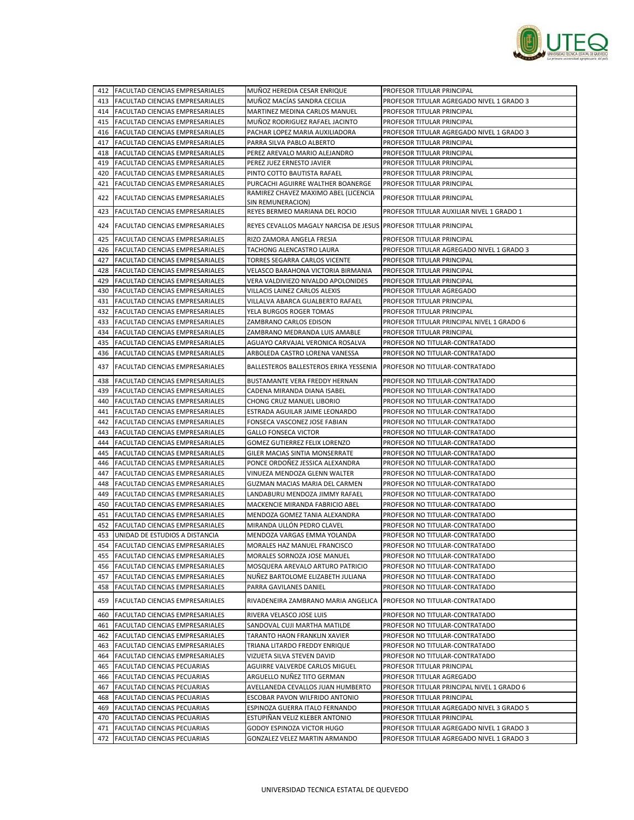

|     | 412 FACULTAD CIENCIAS EMPRESARIALES    | MUÑOZ HEREDIA CESAR ENRIQUE                                       | PROFESOR TITULAR PRINCIPAL                 |
|-----|----------------------------------------|-------------------------------------------------------------------|--------------------------------------------|
|     | 413 FACULTAD CIENCIAS EMPRESARIALES    | MUÑOZ MACÍAS SANDRA CECILIA                                       | PROFESOR TITULAR AGREGADO NIVEL 1 GRADO 3  |
|     | 414 FACULTAD CIENCIAS EMPRESARIALES    | MARTINEZ MEDINA CARLOS MANUEL                                     | PROFESOR TITULAR PRINCIPAL                 |
|     | 415 FACULTAD CIENCIAS EMPRESARIALES    | MUÑOZ RODRIGUEZ RAFAEL JACINTO                                    | PROFESOR TITULAR PRINCIPAL                 |
|     | 416   FACULTAD CIENCIAS EMPRESARIALES  | PACHAR LOPEZ MARIA AUXILIADORA                                    | PROFESOR TITULAR AGREGADO NIVEL 1 GRADO 3  |
| 417 | <b>FACULTAD CIENCIAS EMPRESARIALES</b> | PARRA SILVA PABLO ALBERTO                                         | PROFESOR TITULAR PRINCIPAL                 |
|     | 418   FACULTAD CIENCIAS EMPRESARIALES  | PEREZ AREVALO MARIO ALEJANDRO                                     | PROFESOR TITULAR PRINCIPAL                 |
|     | 419 FACULTAD CIENCIAS EMPRESARIALES    | PEREZ JUEZ ERNESTO JAVIER                                         | PROFESOR TITULAR PRINCIPAL                 |
| 420 | FACULTAD CIENCIAS EMPRESARIALES        | PINTO COTTO BAUTISTA RAFAEL                                       | PROFESOR TITULAR PRINCIPAL                 |
| 421 | <b>FACULTAD CIENCIAS EMPRESARIALES</b> | PURCACHI AGUIRRE WALTHER BOANERGE                                 | PROFESOR TITULAR PRINCIPAL                 |
|     |                                        | RAMIREZ CHAVEZ MAXIMO ABEL (LICENCIA                              |                                            |
|     | 422 FACULTAD CIENCIAS EMPRESARIALES    | SIN REMUNERACION)                                                 | PROFESOR TITULAR PRINCIPAL                 |
| 423 | <b>FACULTAD CIENCIAS EMPRESARIALES</b> | REYES BERMEO MARIANA DEL ROCIO                                    | PROFESOR TITULAR AUXILIAR NIVEL 1 GRADO 1  |
|     | 424 FACULTAD CIENCIAS EMPRESARIALES    | REYES CEVALLOS MAGALY NARCISA DE JESUS PROFESOR TITULAR PRINCIPAL |                                            |
| 425 | <b>FACULTAD CIENCIAS EMPRESARIALES</b> | RIZO ZAMORA ANGELA FRESIA                                         | PROFESOR TITULAR PRINCIPAL                 |
|     | 426   FACULTAD CIENCIAS EMPRESARIALES  | TACHONG ALENCASTRO LAURA                                          | PROFESOR TITULAR AGREGADO NIVEL 1 GRADO 3  |
|     | 427 FACULTAD CIENCIAS EMPRESARIALES    | TORRES SEGARRA CARLOS VICENTE                                     | PROFESOR TITULAR PRINCIPAL                 |
|     | 428 FACULTAD CIENCIAS EMPRESARIALES    | VELASCO BARAHONA VICTORIA BIRMANIA                                | PROFESOR TITULAR PRINCIPAL                 |
| 429 | <b>FACULTAD CIENCIAS EMPRESARIALES</b> | VERA VALDIVIEZO NIVALDO APOLONIDES                                | PROFESOR TITULAR PRINCIPAL                 |
|     | 430 FACULTAD CIENCIAS EMPRESARIALES    | VILLACIS LAINEZ CARLOS ALEXIS                                     | PROFESOR TITULAR AGREGADO                  |
|     | 431 FACULTAD CIENCIAS EMPRESARIALES    | VILLALVA ABARCA GUALBERTO RAFAEL                                  | PROFESOR TITULAR PRINCIPAL                 |
|     | 432 FACULTAD CIENCIAS EMPRESARIALES    | YELA BURGOS ROGER TOMAS                                           | PROFESOR TITULAR PRINCIPAL                 |
|     | 433 FACULTAD CIENCIAS EMPRESARIALES    | ZAMBRANO CARLOS EDISON                                            | PROFESOR TITULAR PRINCIPAL NIVEL 1 GRADO 6 |
|     | 434 FACULTAD CIENCIAS EMPRESARIALES    | ZAMBRANO MEDRANDA LUIS AMABLE                                     | PROFESOR TITULAR PRINCIPAL                 |
| 435 | <b>FACULTAD CIENCIAS EMPRESARIALES</b> | AGUAYO CARVAJAL VERONICA ROSALVA                                  | PROFESOR NO TITULAR-CONTRATADO             |
|     | 436 FACULTAD CIENCIAS EMPRESARIALES    | ARBOLEDA CASTRO LORENA VANESSA                                    | PROFESOR NO TITULAR-CONTRATADO             |
|     |                                        |                                                                   |                                            |
| 437 | <b>FACULTAD CIENCIAS EMPRESARIALES</b> | BALLESTEROS BALLESTEROS ERIKA YESSENIA                            | PROFESOR NO TITULAR-CONTRATADO             |
|     | 438 FACULTAD CIENCIAS EMPRESARIALES    | BUSTAMANTE VERA FREDDY HERNAN                                     | PROFESOR NO TITULAR-CONTRATADO             |
| 439 | <b>FACULTAD CIENCIAS EMPRESARIALES</b> | CADENA MIRANDA DIANA ISABEL                                       | PROFESOR NO TITULAR-CONTRATADO             |
| 440 | <b>FACULTAD CIENCIAS EMPRESARIALES</b> | CHONG CRUZ MANUEL LIBORIO                                         | PROFESOR NO TITULAR-CONTRATADO             |
|     | 441   FACULTAD CIENCIAS EMPRESARIALES  | ESTRADA AGUILAR JAIME LEONARDO                                    | PROFESOR NO TITULAR-CONTRATADO             |
| 442 | <b>FACULTAD CIENCIAS EMPRESARIALES</b> | FONSECA VASCONEZ JOSE FABIAN                                      | PROFESOR NO TITULAR-CONTRATADO             |
| 443 | <b>FACULTAD CIENCIAS EMPRESARIALES</b> | <b>GALLO FONSECA VICTOR</b>                                       | PROFESOR NO TITULAR-CONTRATADO             |
| 444 | <b>FACULTAD CIENCIAS EMPRESARIALES</b> | GOMEZ GUTIERREZ FELIX LORENZO                                     | PROFESOR NO TITULAR-CONTRATADO             |
| 445 | FACULTAD CIENCIAS EMPRESARIALES        | GILER MACIAS SINTIA MONSERRATE                                    | PROFESOR NO TITULAR-CONTRATADO             |
| 446 | <b>FACULTAD CIENCIAS EMPRESARIALES</b> | PONCE ORDONEZ JESSICA ALEXANDRA                                   | PROFESOR NO TITULAR-CONTRATADO             |
| 447 | <b>FACULTAD CIENCIAS EMPRESARIALES</b> | VINUEZA MENDOZA GLENN WALTER                                      | PROFESOR NO TITULAR-CONTRATADO             |
| 448 | <b>FACULTAD CIENCIAS EMPRESARIALES</b> | GUZMAN MACIAS MARIA DEL CARMEN                                    | PROFESOR NO TITULAR-CONTRATADO             |
| 449 | <b>FACULTAD CIENCIAS EMPRESARIALES</b> | LANDABURU MENDOZA JIMMY RAFAEL                                    | PROFESOR NO TITULAR-CONTRATADO             |
| 450 | <b>FACULTAD CIENCIAS EMPRESARIALES</b> | MACKENCIE MIRANDA FABRICIO ABEL                                   | PROFESOR NO TITULAR-CONTRATADO             |
| 451 | <b>FACULTAD CIENCIAS EMPRESARIALES</b> | MENDOZA GOMEZ TANIA ALEXANDRA                                     | PROFESOR NO TITULAR-CONTRATADO             |
| 452 | <b>FACULTAD CIENCIAS EMPRESARIALES</b> | MIRANDA ULLÓN PEDRO CLAVEL                                        | PROFESOR NO TITULAR-CONTRATADO             |
|     | 453 UNIDAD DE ESTUDIOS A DISTANCIA     | MENDOZA VARGAS EMMA YOLANDA                                       | PROFESOR NO TITULAR-CONTRATADO             |
|     | 454 FACULTAD CIENCIAS EMPRESARIALES    | MORALES HAZ MANUEL FRANCISCO                                      | PROFESOR NO TITULAR-CONTRATADO             |
|     | 455 FACULTAD CIENCIAS EMPRESARIALES    | MORALES SORNOZA JOSE MANUEL                                       | PROFESOR NO TITULAR-CONTRATADO             |
|     | 456 FACULTAD CIENCIAS EMPRESARIALES    | MOSQUERA AREVALO ARTURO PATRICIO                                  | PROFESOR NO TITULAR-CONTRATADO             |
|     | 457 FACULTAD CIENCIAS EMPRESARIALES    | NUÑEZ BARTOLOME ELIZABETH JULIANA                                 | PROFESOR NO TITULAR-CONTRATADO             |
|     | 458 FACULTAD CIENCIAS EMPRESARIALES    | PARRA GAVILANES DANIEL                                            | PROFESOR NO TITULAR-CONTRATADO             |
|     | 459 FACULTAD CIENCIAS EMPRESARIALES    | RIVADENEIRA ZAMBRANO MARIA ANGELICA                               | PROFESOR NO TITULAR-CONTRATADO             |
| 460 | FACULTAD CIENCIAS EMPRESARIALES        | RIVERA VELASCO JOSE LUIS                                          | PROFESOR NO TITULAR-CONTRATADO             |
|     | 461 FACULTAD CIENCIAS EMPRESARIALES    | SANDOVAL CUJI MARTHA MATILDE                                      | PROFESOR NO TITULAR-CONTRATADO             |
|     | 462 FACULTAD CIENCIAS EMPRESARIALES    | TARANTO HAON FRANKLIN XAVIER                                      | PROFESOR NO TITULAR-CONTRATADO             |
| 463 | FACULTAD CIENCIAS EMPRESARIALES        | TRIANA LITARDO FREDDY ENRIQUE                                     | PROFESOR NO TITULAR-CONTRATADO             |
|     | 464 FACULTAD CIENCIAS EMPRESARIALES    | VIZUETA SILVA STEVEN DAVID                                        | PROFESOR NO TITULAR-CONTRATADO             |
|     | 465 FACULTAD CIENCIAS PECUARIAS        | AGUIRRE VALVERDE CARLOS MIGUEL                                    | PROFESOR TITULAR PRINCIPAL                 |
| 466 | FACULTAD CIENCIAS PECUARIAS            | ARGUELLO NUÑEZ TITO GERMAN                                        | PROFESOR TITULAR AGREGADO                  |
| 467 | <b>FACULTAD CIENCIAS PECUARIAS</b>     | AVELLANEDA CEVALLOS JUAN HUMBERTO                                 | PROFESOR TITULAR PRINCIPAL NIVEL 1 GRADO 6 |
|     | 468 FACULTAD CIENCIAS PECUARIAS        | ESCOBAR PAVON WILFRIDO ANTONIO                                    | PROFESOR TITULAR PRINCIPAL                 |
| 469 | FACULTAD CIENCIAS PECUARIAS            | ESPINOZA GUERRA ITALO FERNANDO                                    | PROFESOR TITULAR AGREGADO NIVEL 3 GRADO 5  |
|     | 470 FACULTAD CIENCIAS PECUARIAS        | ESTUPIÑAN VELIZ KLEBER ANTONIO                                    | PROFESOR TITULAR PRINCIPAL                 |
|     | 471 FACULTAD CIENCIAS PECUARIAS        | GODOY ESPINOZA VICTOR HUGO                                        | PROFESOR TITULAR AGREGADO NIVEL 1 GRADO 3  |
| 472 | FACULTAD CIENCIAS PECUARIAS            | GONZALEZ VELEZ MARTIN ARMANDO                                     | PROFESOR TITULAR AGREGADO NIVEL 1 GRADO 3  |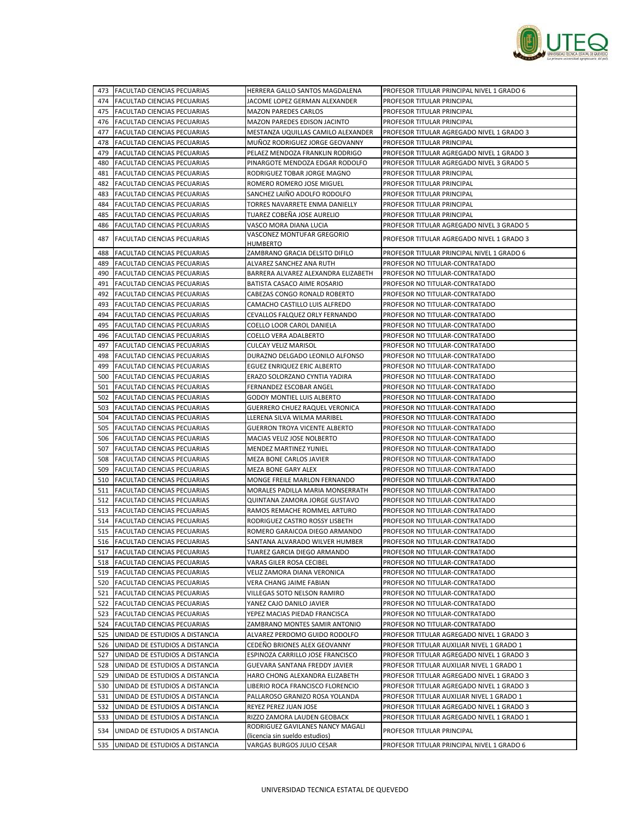

|     | 473 FACULTAD CIENCIAS PECUARIAS    | HERRERA GALLO SANTOS MAGDALENA         | PROFESOR TITULAR PRINCIPAL NIVEL 1 GRADO 6 |
|-----|------------------------------------|----------------------------------------|--------------------------------------------|
| 474 | <b>FACULTAD CIENCIAS PECUARIAS</b> | JACOME LOPEZ GERMAN ALEXANDER          | PROFESOR TITULAR PRINCIPAL                 |
|     | 475 FACULTAD CIENCIAS PECUARIAS    | <b>MAZON PAREDES CARLOS</b>            | PROFESOR TITULAR PRINCIPAL                 |
|     | 476 FACULTAD CIENCIAS PECUARIAS    | MAZON PAREDES EDISON JACINTO           | PROFESOR TITULAR PRINCIPAL                 |
| 477 | FACULTAD CIENCIAS PECUARIAS        | MESTANZA UQUILLAS CAMILO ALEXANDER     | PROFESOR TITULAR AGREGADO NIVEL 1 GRADO 3  |
|     | 478 FACULTAD CIENCIAS PECUARIAS    | MUÑOZ RODRIGUEZ JORGE GEOVANNY         | PROFESOR TITULAR PRINCIPAL                 |
| 479 | <b>FACULTAD CIENCIAS PECUARIAS</b> | PELAEZ MENDOZA FRANKLIN RODRIGO        | PROFESOR TITULAR AGREGADO NIVEL 1 GRADO 3  |
| 480 | FACULTAD CIENCIAS PECUARIAS        | PINARGOTE MENDOZA EDGAR RODOLFO        | PROFESOR TITULAR AGREGADO NIVEL 3 GRADO 5  |
| 481 | <b>FACULTAD CIENCIAS PECUARIAS</b> | RODRIGUEZ TOBAR JORGE MAGNO            | PROFESOR TITULAR PRINCIPAL                 |
| 482 | FACULTAD CIENCIAS PECUARIAS        | ROMERO ROMERO JOSE MIGUEL              | PROFESOR TITULAR PRINCIPAL                 |
| 483 | FACULTAD CIENCIAS PECUARIAS        | SANCHEZ LAIÑO ADOLFO RODOLFO           | PROFESOR TITULAR PRINCIPAL                 |
|     |                                    |                                        |                                            |
| 484 | <b>FACULTAD CIENCIAS PECUARIAS</b> | TORRES NAVARRETE ENMA DANIELLY         | PROFESOR TITULAR PRINCIPAL                 |
| 485 | FACULTAD CIENCIAS PECUARIAS        | TUAREZ COBEÑA JOSE AURELIO             | PROFESOR TITULAR PRINCIPAL                 |
| 486 | FACULTAD CIENCIAS PECUARIAS        | VASCO MORA DIANA LUCIA                 | PROFESOR TITULAR AGREGADO NIVEL 3 GRADO 5  |
| 487 | FACULTAD CIENCIAS PECUARIAS        | VASCONEZ MONTUFAR GREGORIO<br>HUMBERTO | PROFESOR TITULAR AGREGADO NIVEL 1 GRADO 3  |
| 488 | FACULTAD CIENCIAS PECUARIAS        | ZAMBRANO GRACIA DELSITO DIFILO         | PROFESOR TITULAR PRINCIPAL NIVEL 1 GRADO 6 |
| 489 | FACULTAD CIENCIAS PECUARIAS        | ALVAREZ SANCHEZ ANA RUTH               | PROFESOR NO TITULAR-CONTRATADO             |
| 490 | FACULTAD CIENCIAS PECUARIAS        | BARRERA ALVAREZ ALEXANDRA ELIZABETH    | PROFESOR NO TITULAR-CONTRATADO             |
| 491 | FACULTAD CIENCIAS PECUARIAS        | BATISTA CASACO AIME ROSARIO            | PROFESOR NO TITULAR-CONTRATADO             |
| 492 | FACULTAD CIENCIAS PECUARIAS        | CABEZAS CONGO RONALD ROBERTO           | PROFESOR NO TITULAR-CONTRATADO             |
| 493 | FACULTAD CIENCIAS PECUARIAS        | CAMACHO CASTILLO LUIS ALFREDO          | PROFESOR NO TITULAR-CONTRATADO             |
| 494 | FACULTAD CIENCIAS PECUARIAS        | CEVALLOS FALQUEZ ORLY FERNANDO         | PROFESOR NO TITULAR-CONTRATADO             |
| 495 | FACULTAD CIENCIAS PECUARIAS        | COELLO LOOR CAROL DANIELA              | PROFESOR NO TITULAR-CONTRATADO             |
|     | 496 FACULTAD CIENCIAS PECUARIAS    | COELLO VERA ADALBERTO                  | PROFESOR NO TITULAR-CONTRATADO             |
| 497 | FACULTAD CIENCIAS PECUARIAS        | <b>CULCAY VELIZ MARISOL</b>            | PROFESOR NO TITULAR-CONTRATADO             |
| 498 | FACULTAD CIENCIAS PECUARIAS        | DURAZNO DELGADO LEONILO ALFONSO        | PROFESOR NO TITULAR-CONTRATADO             |
|     | 499 FACULTAD CIENCIAS PECUARIAS    | EGUEZ ENRIQUEZ ERIC ALBERTO            | PROFESOR NO TITULAR-CONTRATADO             |
| 500 | FACULTAD CIENCIAS PECUARIAS        | ERAZO SOLORZANO CYNTIA YADIRA          | PROFESOR NO TITULAR-CONTRATADO             |
| 501 |                                    |                                        |                                            |
|     | FACULTAD CIENCIAS PECUARIAS        | FERNANDEZ ESCOBAR ANGEL                | PROFESOR NO TITULAR-CONTRATADO             |
| 502 | <b>FACULTAD CIENCIAS PECUARIAS</b> | <b>GODOY MONTIEL LUIS ALBERTO</b>      | PROFESOR NO TITULAR-CONTRATADO             |
| 503 | FACULTAD CIENCIAS PECUARIAS        | <b>GUERRERO CHUEZ RAQUEL VERONICA</b>  | PROFESOR NO TITULAR-CONTRATADO             |
| 504 | FACULTAD CIENCIAS PECUARIAS        | LLERENA SILVA WILMA MARIBEL            | PROFESOR NO TITULAR-CONTRATADO             |
|     | 505 FACULTAD CIENCIAS PECUARIAS    | <b>GUERRON TROYA VICENTE ALBERTO</b>   | PROFESOR NO TITULAR-CONTRATADO             |
| 506 | FACULTAD CIENCIAS PECUARIAS        | MACIAS VELIZ JOSE NOLBERTO             | PROFESOR NO TITULAR-CONTRATADO             |
| 507 | FACULTAD CIENCIAS PECUARIAS        | MENDEZ MARTINEZ YUNIEL                 | PROFESOR NO TITULAR-CONTRATADO             |
|     | 508 FACULTAD CIENCIAS PECUARIAS    | MEZA BONE CARLOS JAVIER                | PROFESOR NO TITULAR-CONTRATADO             |
| 509 | FACULTAD CIENCIAS PECUARIAS        | MEZA BONE GARY ALEX                    | PROFESOR NO TITULAR-CONTRATADO             |
| 510 | FACULTAD CIENCIAS PECUARIAS        | MONGE FREILE MARLON FERNANDO           | PROFESOR NO TITULAR-CONTRATADO             |
|     | 511 FACULTAD CIENCIAS PECUARIAS    | MORALES PADILLA MARIA MONSERRATH       | PROFESOR NO TITULAR-CONTRATADO             |
| 512 | FACULTAD CIENCIAS PECUARIAS        | QUINTANA ZAMORA JORGE GUSTAVO          | PROFESOR NO TITULAR-CONTRATADO             |
| 513 | FACULTAD CIENCIAS PECUARIAS        | RAMOS REMACHE ROMMEL ARTURO            | PROFESOR NO TITULAR-CONTRATADO             |
|     | 514 FACULTAD CIENCIAS PECUARIAS    | RODRIGUEZ CASTRO ROSSY LISBETH         | PROFESOR NO TITULAR-CONTRATADO             |
| 515 | FACULTAD CIENCIAS PECUARIAS        | ROMERO GARAICOA DIEGO ARMANDO          | PROFESOR NO TITULAR-CONTRATADO             |
| 516 | <b>FACULTAD CIENCIAS PECUARIAS</b> | SANTANA ALVARADO WILVER HUMBER         | PROFESOR NO TITULAR-CONTRATADO             |
|     | 517 FACULTAD CIENCIAS PECUARIAS    | TUAREZ GARCIA DIEGO ARMANDO            | PROFESOR NO TITULAR-CONTRATADO             |
|     | 518 FACULTAD CIENCIAS PECUARIAS    | VARAS GILER ROSA CECIBEL               | PROFESOR NO TITULAR-CONTRATADO             |
|     | 519 FACULTAD CIENCIAS PECUARIAS    | VELIZ ZAMORA DIANA VERONICA            | PROFESOR NO TITULAR-CONTRATADO             |
|     | 520 FACULTAD CIENCIAS PECUARIAS    | VERA CHANG JAIME FABIAN                | PROFESOR NO TITULAR-CONTRATADO             |
|     | 521 FACULTAD CIENCIAS PECUARIAS    | VILLEGAS SOTO NELSON RAMIRO            | PROFESOR NO TITULAR-CONTRATADO             |
| 522 | FACULTAD CIENCIAS PECUARIAS        | YANEZ CAJO DANILO JAVIER               | PROFESOR NO TITULAR-CONTRATADO             |
| 523 | FACULTAD CIENCIAS PECUARIAS        | YEPEZ MACIAS PIEDAD FRANCISCA          | PROFESOR NO TITULAR-CONTRATADO             |
| 524 | <b>FACULTAD CIENCIAS PECUARIAS</b> | ZAMBRANO MONTES SAMIR ANTONIO          | PROFESOR NO TITULAR-CONTRATADO             |
| 525 | UNIDAD DE ESTUDIOS A DISTANCIA     | ALVAREZ PERDOMO GUIDO RODOLFO          | PROFESOR TITULAR AGREGADO NIVEL 1 GRADO 3  |
| 526 | UNIDAD DE ESTUDIOS A DISTANCIA     | CEDEÑO BRIONES ALEX GEOVANNY           | PROFESOR TITULAR AUXILIAR NIVEL 1 GRADO 1  |
| 527 | UNIDAD DE ESTUDIOS A DISTANCIA     | ESPINOZA CARRILLO JOSE FRANCISCO       | PROFESOR TITULAR AGREGADO NIVEL 1 GRADO 3  |
| 528 | UNIDAD DE ESTUDIOS A DISTANCIA     | GUEVARA SANTANA FREDDY JAVIER          | PROFESOR TITULAR AUXILIAR NIVEL 1 GRADO 1  |
| 529 | UNIDAD DE ESTUDIOS A DISTANCIA     | HARO CHONG ALEXANDRA ELIZABETH         | PROFESOR TITULAR AGREGADO NIVEL 1 GRADO 3  |
| 530 | UNIDAD DE ESTUDIOS A DISTANCIA     | LIBERIO ROCA FRANCISCO FLORENCIO       | PROFESOR TITULAR AGREGADO NIVEL 1 GRADO 3  |
| 531 | UNIDAD DE ESTUDIOS A DISTANCIA     | PALLAROSO GRANIZO ROSA YOLANDA         | PROFESOR TITULAR AUXILIAR NIVEL 1 GRADO 1  |
| 532 | UNIDAD DE ESTUDIOS A DISTANCIA     | REYEZ PEREZ JUAN JOSE                  | PROFESOR TITULAR AGREGADO NIVEL 1 GRADO 3  |
| 533 | UNIDAD DE ESTUDIOS A DISTANCIA     | RIZZO ZAMORA LAUDEN GEOBACK            | PROFESOR TITULAR AGREGADO NIVEL 1 GRADO 1  |
|     |                                    | RODRIGUEZ GAVILANES NANCY MAGALI       |                                            |
| 534 | UNIDAD DE ESTUDIOS A DISTANCIA     | (licencia sin sueldo estudios)         | PROFESOR TITULAR PRINCIPAL                 |
| 535 | UNIDAD DE ESTUDIOS A DISTANCIA     | VARGAS BURGOS JULIO CESAR              | PROFESOR TITULAR PRINCIPAL NIVEL 1 GRADO 6 |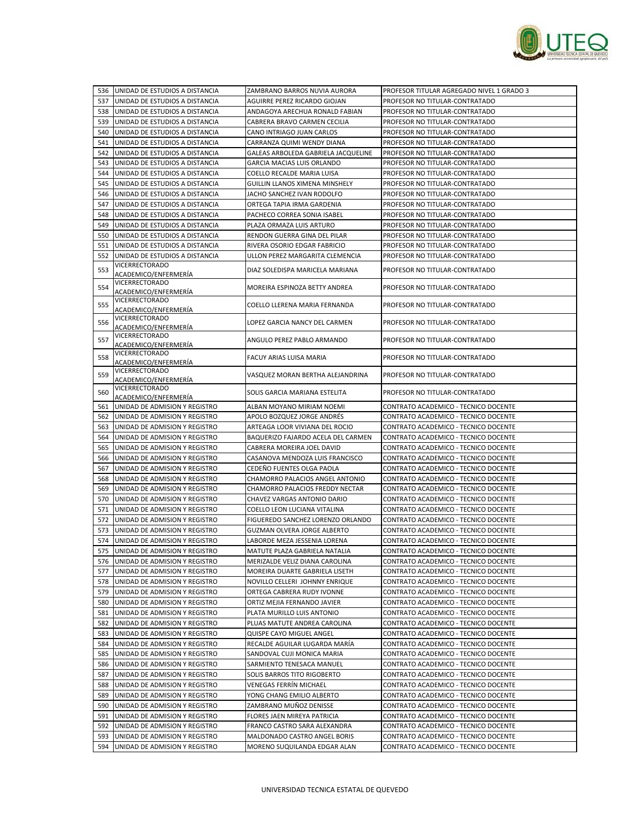

|     | 536 UNIDAD DE ESTUDIOS A DISTANCIA                                 | ZAMBRANO BARROS NUVIA AURORA                              | PROFESOR TITULAR AGREGADO NIVEL 1 GRADO 3                                    |
|-----|--------------------------------------------------------------------|-----------------------------------------------------------|------------------------------------------------------------------------------|
|     | 537 UNIDAD DE ESTUDIOS A DISTANCIA                                 | AGUIRRE PEREZ RICARDO GIOJAN                              | PROFESOR NO TITULAR-CONTRATADO                                               |
| 538 | UNIDAD DE ESTUDIOS A DISTANCIA                                     | ANDAGOYA ARECHUA RONALD FABIAN                            | PROFESOR NO TITULAR-CONTRATADO                                               |
|     | 539 UNIDAD DE ESTUDIOS A DISTANCIA                                 | CABRERA BRAVO CARMEN CECILIA                              | PROFESOR NO TITULAR-CONTRATADO                                               |
| 540 | UNIDAD DE ESTUDIOS A DISTANCIA                                     | CANO INTRIAGO JUAN CARLOS                                 | PROFESOR NO TITULAR-CONTRATADO                                               |
| 541 | UNIDAD DE ESTUDIOS A DISTANCIA                                     | CARRANZA QUIMI WENDY DIANA                                | PROFESOR NO TITULAR-CONTRATADO                                               |
| 542 | UNIDAD DE ESTUDIOS A DISTANCIA                                     | GALEAS ARBOLEDA GABRIELA JACQUELINE                       | PROFESOR NO TITULAR-CONTRATADO                                               |
| 543 | UNIDAD DE ESTUDIOS A DISTANCIA                                     | <b>GARCIA MACIAS LUIS ORLANDO</b>                         | PROFESOR NO TITULAR-CONTRATADO                                               |
| 544 | UNIDAD DE ESTUDIOS A DISTANCIA                                     | COELLO RECALDE MARIA LUISA                                | PROFESOR NO TITULAR-CONTRATADO                                               |
| 545 | UNIDAD DE ESTUDIOS A DISTANCIA                                     | GUILLIN LLANOS XIMENA MINSHELY                            | PROFESOR NO TITULAR-CONTRATADO                                               |
| 546 | UNIDAD DE ESTUDIOS A DISTANCIA                                     | JACHO SANCHEZ IVAN RODOLFO                                | PROFESOR NO TITULAR-CONTRATADO                                               |
| 547 | UNIDAD DE ESTUDIOS A DISTANCIA                                     | ORTEGA TAPIA IRMA GARDENIA                                | PROFESOR NO TITULAR-CONTRATADO                                               |
| 548 | UNIDAD DE ESTUDIOS A DISTANCIA                                     | PACHECO CORREA SONIA ISABEL                               | PROFESOR NO TITULAR-CONTRATADO                                               |
| 549 | UNIDAD DE ESTUDIOS A DISTANCIA                                     | PLAZA ORMAZA LUIS ARTURO                                  | PROFESOR NO TITULAR-CONTRATADO                                               |
| 550 | UNIDAD DE ESTUDIOS A DISTANCIA                                     | RENDON GUERRA GINA DEL PILAR                              | PROFESOR NO TITULAR-CONTRATADO                                               |
| 551 | UNIDAD DE ESTUDIOS A DISTANCIA                                     | RIVERA OSORIO EDGAR FABRICIO                              | PROFESOR NO TITULAR-CONTRATADO                                               |
| 552 | UNIDAD DE ESTUDIOS A DISTANCIA                                     | ULLON PEREZ MARGARITA CLEMENCIA                           | PROFESOR NO TITULAR-CONTRATADO                                               |
| 553 | VICERRECTORADO<br>ACADEMICO/ENFERMERÍA                             | DIAZ SOLEDISPA MARICELA MARIANA                           | PROFESOR NO TITULAR-CONTRATADO                                               |
| 554 | VICERRECTORADO                                                     | MOREIRA ESPINOZA BETTY ANDREA                             | PROFESOR NO TITULAR-CONTRATADO                                               |
| 555 | ACADEMICO/ENFERMERÍA<br>VICERRECTORADO                             | COELLO LLERENA MARIA FERNANDA                             | PROFESOR NO TITULAR-CONTRATADO                                               |
|     | ACADEMICO/ENFERMERÍA<br><b>VICERRECTORADO</b>                      |                                                           |                                                                              |
| 556 | ACADEMICO/ENFERMERÍA<br><b>VICERRECTORADO</b>                      | LOPEZ GARCIA NANCY DEL CARMEN                             | PROFESOR NO TITULAR-CONTRATADO                                               |
| 557 | ACADEMICO/ENFERMERÍA                                               | ANGULO PEREZ PABLO ARMANDO                                | PROFESOR NO TITULAR-CONTRATADO                                               |
| 558 | VICERRECTORADO<br>ACADEMICO/ENFERMERÍA                             | FACUY ARIAS LUISA MARIA                                   | PROFESOR NO TITULAR-CONTRATADO                                               |
| 559 | <b>VICERRECTORADO</b><br>ACADEMICO/ENFERMERÍA                      | VASQUEZ MORAN BERTHA ALEJANDRINA                          | PROFESOR NO TITULAR-CONTRATADO                                               |
| 560 | VICERRECTORADO<br>ACADEMICO/ENFERMERÍA                             | SOLIS GARCIA MARIANA ESTELITA                             | PROFESOR NO TITULAR-CONTRATADO                                               |
| 561 | UNIDAD DE ADMISION Y REGISTRO                                      | ALBAN MOYANO MIRIAM NOEMI                                 | CONTRATO ACADEMICO - TECNICO DOCENTE                                         |
| 562 | UNIDAD DE ADMISION Y REGISTRO                                      | APOLO BOZQUEZ JORGE ANDRÉS                                | CONTRATO ACADEMICO - TECNICO DOCENTE                                         |
| 563 | UNIDAD DE ADMISION Y REGISTRO                                      | ARTEAGA LOOR VIVIANA DEL ROCIO                            | CONTRATO ACADEMICO - TECNICO DOCENTE                                         |
| 564 | UNIDAD DE ADMISION Y REGISTRO                                      | BAQUERIZO FAJARDO ACELA DEL CARMEN                        | CONTRATO ACADEMICO - TECNICO DOCENTE                                         |
| 565 | UNIDAD DE ADMISION Y REGISTRO                                      | CABRERA MOREIRA JOEL DAVID                                | CONTRATO ACADEMICO - TECNICO DOCENTE                                         |
| 566 | UNIDAD DE ADMISION Y REGISTRO                                      | CASANOVA MENDOZA LUIS FRANCISCO                           | CONTRATO ACADEMICO - TECNICO DOCENTE                                         |
| 567 | UNIDAD DE ADMISION Y REGISTRO                                      | CEDEÑO FUENTES OLGA PAOLA                                 | CONTRATO ACADEMICO - TECNICO DOCENTE                                         |
| 568 | UNIDAD DE ADMISION Y REGISTRO                                      | CHAMORRO PALACIOS ANGEL ANTONIO                           | CONTRATO ACADEMICO - TECNICO DOCENTE                                         |
| 569 | UNIDAD DE ADMISION Y REGISTRO                                      | CHAMORRO PALACIOS FREDDY NECTAR                           | CONTRATO ACADEMICO - TECNICO DOCENTE                                         |
| 570 | UNIDAD DE ADMISION Y REGISTRO                                      | CHAVEZ VARGAS ANTONIO DARIO                               | CONTRATO ACADEMICO - TECNICO DOCENTE                                         |
| 571 | UNIDAD DE ADMISION Y REGISTRO                                      | COELLO LEON LUCIANA VITALINA                              | CONTRATO ACADEMICO - TECNICO DOCENTE                                         |
| 572 | UNIDAD DE ADMISION Y REGISTRO                                      | FIGUEREDO SANCHEZ LORENZO ORLANDO                         | CONTRATO ACADEMICO - TECNICO DOCENTE                                         |
| 573 | UNIDAD DE ADMISION Y REGISTRO                                      | GUZMAN OLVERA JORGE ALBERTO                               | CONTRATO ACADEMICO - TECNICO DOCENTE                                         |
| 574 | UNIDAD DE ADMISION Y REGISTRO                                      | LABORDE MEZA JESSENIA LORENA                              | CONTRATO ACADEMICO - TECNICO DOCENTE                                         |
|     | 575 UNIDAD DE ADMISION Y REGISTRO                                  | MATUTE PLAZA GABRIELA NATALIA                             | CONTRATO ACADEMICO - TECNICO DOCENTE                                         |
|     | 576 UNIDAD DE ADMISION Y REGISTRO                                  | MERIZALDE VELIZ DIANA CAROLINA                            | CONTRATO ACADEMICO - TECNICO DOCENTE                                         |
|     | 577 UNIDAD DE ADMISION Y REGISTRO                                  | MOREIRA DUARTE GABRIELA LISETH                            | CONTRATO ACADEMICO - TECNICO DOCENTE                                         |
|     | 578 UNIDAD DE ADMISION Y REGISTRO                                  | NOVILLO CELLERI JOHNNY ENRIQUE                            | CONTRATO ACADEMICO - TECNICO DOCENTE                                         |
|     | 579 UNIDAD DE ADMISION Y REGISTRO                                  | ORTEGA CABRERA RUDY IVONNE                                | CONTRATO ACADEMICO - TECNICO DOCENTE                                         |
| 580 | UNIDAD DE ADMISION Y REGISTRO                                      | ORTIZ MEJIA FERNANDO JAVIER                               | CONTRATO ACADEMICO - TECNICO DOCENTE                                         |
|     | 581 UNIDAD DE ADMISION Y REGISTRO                                  | PLATA MURILLO LUIS ANTONIO                                | CONTRATO ACADEMICO - TECNICO DOCENTE                                         |
| 583 | 582 UNIDAD DE ADMISION Y REGISTRO<br>UNIDAD DE ADMISION Y REGISTRO | PLUAS MATUTE ANDREA CAROLINA                              | CONTRATO ACADEMICO - TECNICO DOCENTE<br>CONTRATO ACADEMICO - TECNICO DOCENTE |
|     | 584 UNIDAD DE ADMISION Y REGISTRO                                  | QUISPE CAYO MIGUEL ANGEL<br>RECALDE AGUILAR LUGARDA MARIA | CONTRATO ACADEMICO - TECNICO DOCENTE                                         |
| 585 | UNIDAD DE ADMISION Y REGISTRO                                      | SANDOVAL CUJI MONICA MARIA                                | CONTRATO ACADEMICO - TECNICO DOCENTE                                         |
| 586 | UNIDAD DE ADMISION Y REGISTRO                                      | SARMIENTO TENESACA MANUEL                                 | CONTRATO ACADEMICO - TECNICO DOCENTE                                         |
| 587 | UNIDAD DE ADMISION Y REGISTRO                                      | SOLIS BARROS TITO RIGOBERTO                               | CONTRATO ACADEMICO - TECNICO DOCENTE                                         |
|     | 588 UNIDAD DE ADMISION Y REGISTRO                                  | VENEGAS FERRÍN MICHAEL                                    | CONTRATO ACADEMICO - TECNICO DOCENTE                                         |
| 589 | UNIDAD DE ADMISION Y REGISTRO                                      | YONG CHANG EMILIO ALBERTO                                 | CONTRATO ACADEMICO - TECNICO DOCENTE                                         |
|     | 590 UNIDAD DE ADMISION Y REGISTRO                                  | ZAMBRANO MUÑOZ DENISSE                                    | CONTRATO ACADEMICO - TECNICO DOCENTE                                         |
| 591 | UNIDAD DE ADMISION Y REGISTRO                                      | FLORES JAEN MIREYA PATRICIA                               | CONTRATO ACADEMICO - TECNICO DOCENTE                                         |
| 592 | UNIDAD DE ADMISION Y REGISTRO                                      | FRANCO CASTRO SARA ALEXANDRA                              | CONTRATO ACADEMICO - TECNICO DOCENTE                                         |
|     | 593 UNIDAD DE ADMISION Y REGISTRO                                  | MALDONADO CASTRO ANGEL BORIS                              | CONTRATO ACADEMICO - TECNICO DOCENTE                                         |
|     | 594 UNIDAD DE ADMISION Y REGISTRO                                  | MORENO SUQUILANDA EDGAR ALAN                              | CONTRATO ACADEMICO - TECNICO DOCENTE                                         |